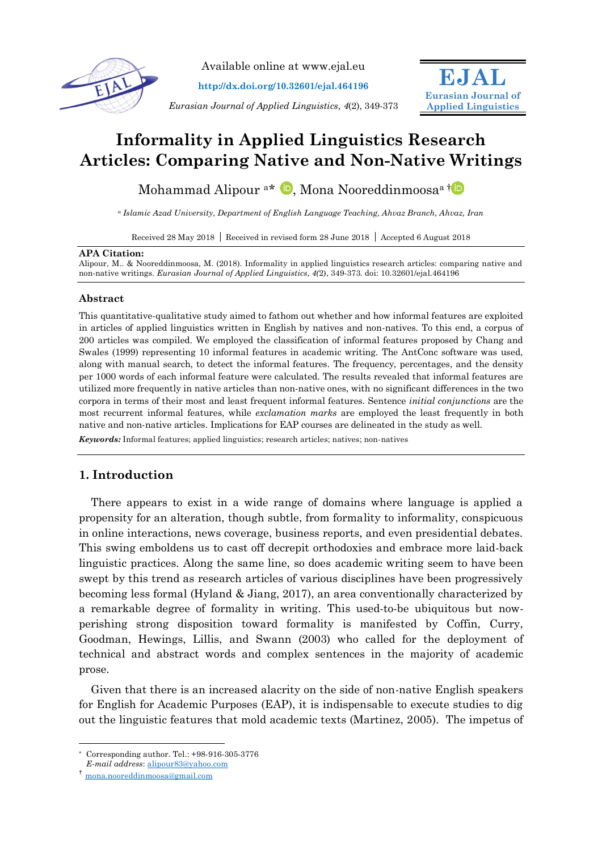

Available online at www.ejal.eu

**http://dx.doi.org/10.32601/ejal.464196**

*Eurasian Journal of Applied Linguistics, 4*(2), 349-373



# **Informality in Applied Linguistics Research Articles: Comparing Native and Non-Native Writings**

Mohammad Alipour <sup>a\*</sup> **D**[,](https://orcid.org/0000-0002-5888-000X) Mona Nooreddinmoosa<sup>a[†](https://orcid.org/0000-0002-2514-6116)</sup>

*<sup>a</sup> Islamic Azad University, Department of English Language Teaching, Ahvaz Branch, Ahvaz, Iran*

Received 28 May 2018 | Received in revised form 28 June 2018 | Accepted 6 August 2018

## **APA Citation:**

Alipour, M.. & Nooreddinmoosa, M. (2018). Informality in applied linguistics research articles: comparing native and non-native writings. *Eurasian Journal of Applied Linguistics, 4(*2), 349-373. doi: 10.32601/ejal.464196

# **Abstract**

This quantitative-qualitative study aimed to fathom out whether and how informal features are exploited in articles of applied linguistics written in English by natives and non-natives. To this end, a corpus of 200 articles was compiled. We employed the classification of informal features proposed by Chang and Swales (1999) representing 10 informal features in academic writing. The AntConc software was used, along with manual search, to detect the informal features. The frequency, percentages, and the density per 1000 words of each informal feature were calculated. The results revealed that informal features are utilized more frequently in native articles than non-native ones, with no significant differences in the two corpora in terms of their most and least frequent informal features. Sentence *initial conjunctions* are the most recurrent informal features, while *exclamation marks* are employed the least frequently in both native and non-native articles. Implications for EAP courses are delineated in the study as well.

*Keywords:* Informal features; applied linguistics; research articles; natives; non-natives

# **1. Introduction**

There appears to exist in a wide range of domains where language is applied a propensity for an alteration, though subtle, from formality to informality, conspicuous in online interactions, news coverage, business reports, and even presidential debates. This swing emboldens us to cast off decrepit orthodoxies and embrace more laid-back linguistic practices. Along the same line, so does academic writing seem to have been swept by this trend as research articles of various disciplines have been progressively becoming less formal (Hyland & Jiang, 2017), an area conventionally characterized by a remarkable degree of formality in writing. This used-to-be ubiquitous but nowperishing strong disposition toward formality is manifested by Coffin, Curry, Goodman, Hewings, Lillis, and Swann (2003) who called for the deployment of technical and abstract words and complex sentences in the majority of academic prose.

Given that there is an increased alacrity on the side of non-native English speakers for English for Academic Purposes (EAP), it is indispensable to execute studies to dig out the linguistic features that mold academic texts (Martinez, 2005). The impetus of

-

Corresponding author. Tel.: +98-916-305-3776

*E-mail address*: [alipour83@yahoo.com](mailto:alipour83@yahoo.com)

<sup>†</sup> [mona.nooreddinmoosa@gmail.com](mailto:mona.nooreddinmoosa@gmail.com)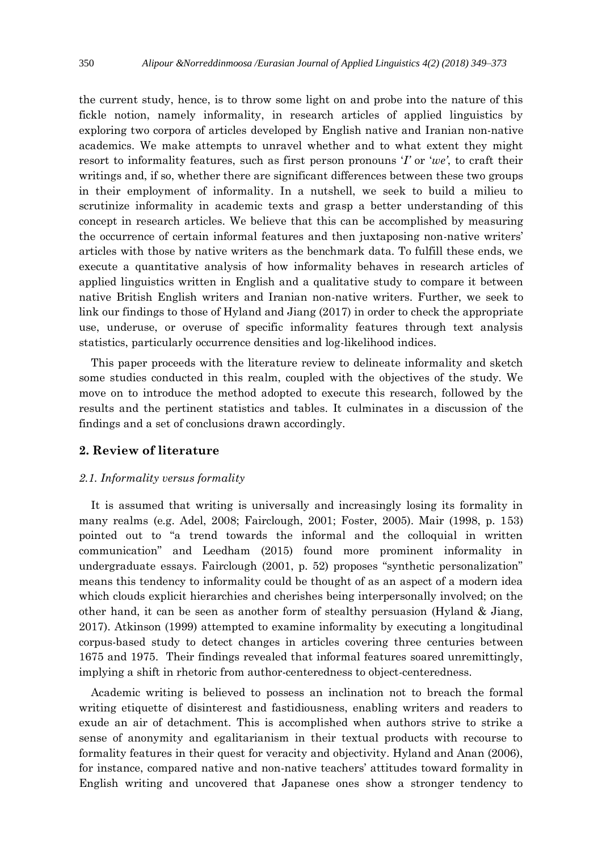the current study, hence, is to throw some light on and probe into the nature of this fickle notion, namely informality, in research articles of applied linguistics by exploring two corpora of articles developed by English native and Iranian non-native academics. We make attempts to unravel whether and to what extent they might resort to informality features, such as first person pronouns '*I'* or '*we'*, to craft their writings and, if so, whether there are significant differences between these two groups in their employment of informality. In a nutshell, we seek to build a milieu to scrutinize informality in academic texts and grasp a better understanding of this concept in research articles. We believe that this can be accomplished by measuring the occurrence of certain informal features and then juxtaposing non-native writers' articles with those by native writers as the benchmark data. To fulfill these ends, we execute a quantitative analysis of how informality behaves in research articles of applied linguistics written in English and a qualitative study to compare it between native British English writers and Iranian non-native writers. Further, we seek to link our findings to those of Hyland and Jiang (2017) in order to check the appropriate use, underuse, or overuse of specific informality features through text analysis statistics, particularly occurrence densities and log-likelihood indices.

This paper proceeds with the literature review to delineate informality and sketch some studies conducted in this realm, coupled with the objectives of the study. We move on to introduce the method adopted to execute this research, followed by the results and the pertinent statistics and tables. It culminates in a discussion of the findings and a set of conclusions drawn accordingly.

# **2. Review of literature**

#### *2.1. Informality versus formality*

It is assumed that writing is universally and increasingly losing its formality in many realms (e.g. Adel, 2008; Fairclough, 2001; Foster, 2005). Mair (1998, p. 153) pointed out to "a trend towards the informal and the colloquial in written communication" and Leedham (2015) found more prominent informality in undergraduate essays. Fairclough (2001, p. 52) proposes "synthetic personalization" means this tendency to informality could be thought of as an aspect of a modern idea which clouds explicit hierarchies and cherishes being interpersonally involved; on the other hand, it can be seen as another form of stealthy persuasion (Hyland & Jiang, 2017). Atkinson (1999) attempted to examine informality by executing a longitudinal corpus-based study to detect changes in articles covering three centuries between 1675 and 1975. Their findings revealed that informal features soared unremittingly, implying a shift in rhetoric from author-centeredness to object-centeredness.

Academic writing is believed to possess an inclination not to breach the formal writing etiquette of disinterest and fastidiousness, enabling writers and readers to exude an air of detachment. This is accomplished when authors strive to strike a sense of anonymity and egalitarianism in their textual products with recourse to formality features in their quest for veracity and objectivity. Hyland and Anan (2006), for instance, compared native and non-native teachers' attitudes toward formality in English writing and uncovered that Japanese ones show a stronger tendency to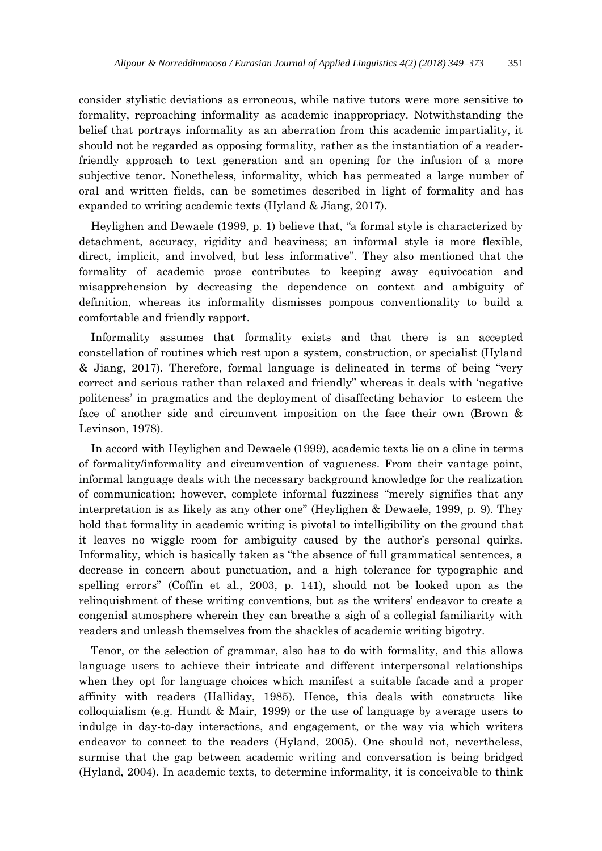consider stylistic deviations as erroneous, while native tutors were more sensitive to formality, reproaching informality as academic inappropriacy. Notwithstanding the belief that portrays informality as an aberration from this academic impartiality, it should not be regarded as opposing formality, rather as the instantiation of a readerfriendly approach to text generation and an opening for the infusion of a more subjective tenor. Nonetheless, informality, which has permeated a large number of oral and written fields, can be sometimes described in light of formality and has expanded to writing academic texts (Hyland & Jiang, 2017).

Heylighen and Dewaele (1999, p. 1) believe that, "a formal style is characterized by detachment, accuracy, rigidity and heaviness; an informal style is more flexible, direct, implicit, and involved, but less informative". They also mentioned that the formality of academic prose contributes to keeping away equivocation and misapprehension by decreasing the dependence on context and ambiguity of definition, whereas its informality dismisses pompous conventionality to build a comfortable and friendly rapport.

Informality assumes that formality exists and that there is an accepted constellation of routines which rest upon a system, construction, or specialist (Hyland & Jiang, 2017). Therefore, formal language is delineated in terms of being "very correct and serious rather than relaxed and friendly" whereas it deals with 'negative politeness' in pragmatics and the deployment of disaffecting behavior to esteem the face of another side and circumvent imposition on the face their own (Brown & Levinson, 1978).

In accord with Heylighen and Dewaele (1999), academic texts lie on a cline in terms of formality/informality and circumvention of vagueness. From their vantage point, informal language deals with the necessary background knowledge for the realization of communication; however, complete informal fuzziness "merely signifies that any interpretation is as likely as any other one" (Heylighen & Dewaele, 1999, p. 9). They hold that formality in academic writing is pivotal to intelligibility on the ground that it leaves no wiggle room for ambiguity caused by the author's personal quirks. Informality, which is basically taken as "the absence of full grammatical sentences, a decrease in concern about punctuation, and a high tolerance for typographic and spelling errors" (Coffin et al., 2003, p. 141), should not be looked upon as the relinquishment of these writing conventions, but as the writers' endeavor to create a congenial atmosphere wherein they can breathe a sigh of a collegial familiarity with readers and unleash themselves from the shackles of academic writing bigotry.

Tenor, or the selection of grammar, also has to do with formality, and this allows language users to achieve their intricate and different interpersonal relationships when they opt for language choices which manifest a suitable facade and a proper affinity with readers (Halliday, 1985). Hence, this deals with constructs like colloquialism (e.g. Hundt  $\&$  Mair, 1999) or the use of language by average users to indulge in day-to-day interactions, and engagement, or the way via which writers endeavor to connect to the readers (Hyland, 2005). One should not, nevertheless, surmise that the gap between academic writing and conversation is being bridged (Hyland, 2004). In academic texts, to determine informality, it is conceivable to think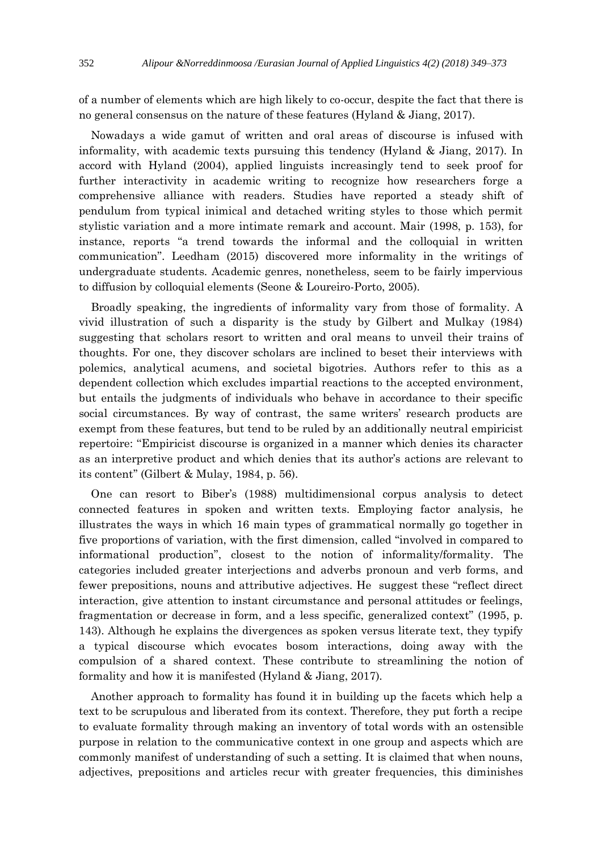of a number of elements which are high likely to co-occur, despite the fact that there is no general consensus on the nature of these features (Hyland & Jiang, 2017).

Nowadays a wide gamut of written and oral areas of discourse is infused with informality, with academic texts pursuing this tendency (Hyland & Jiang, 2017). In accord with Hyland (2004), applied linguists increasingly tend to seek proof for further interactivity in academic writing to recognize how researchers forge a comprehensive alliance with readers. Studies have reported a steady shift of pendulum from typical inimical and detached writing styles to those which permit stylistic variation and a more intimate remark and account. Mair (1998, p. 153), for instance, reports "a trend towards the informal and the colloquial in written communication". Leedham (2015) discovered more informality in the writings of undergraduate students. Academic genres, nonetheless, seem to be fairly impervious to diffusion by colloquial elements (Seone & Loureiro-Porto, 2005).

Broadly speaking, the ingredients of informality vary from those of formality. A vivid illustration of such a disparity is the study by Gilbert and Mulkay (1984) suggesting that scholars resort to written and oral means to unveil their trains of thoughts. For one, they discover scholars are inclined to beset their interviews with polemics, analytical acumens, and societal bigotries. Authors refer to this as a dependent collection which excludes impartial reactions to the accepted environment, but entails the judgments of individuals who behave in accordance to their specific social circumstances. By way of contrast, the same writers' research products are exempt from these features, but tend to be ruled by an additionally neutral empiricist repertoire: ''Empiricist discourse is organized in a manner which denies its character as an interpretive product and which denies that its author's actions are relevant to its content'' (Gilbert & Mulay, 1984, p. 56).

One can resort to Biber's (1988) multidimensional corpus analysis to detect connected features in spoken and written texts. Employing factor analysis, he illustrates the ways in which 16 main types of grammatical normally go together in five proportions of variation, with the first dimension, called "involved in compared to informational production", closest to the notion of informality/formality. The categories included greater interjections and adverbs pronoun and verb forms, and fewer prepositions, nouns and attributive adjectives. He suggest these "reflect direct interaction, give attention to instant circumstance and personal attitudes or feelings, fragmentation or decrease in form, and a less specific, generalized context" (1995, p. 143). Although he explains the divergences as spoken versus literate text, they typify a typical discourse which evocates bosom interactions, doing away with the compulsion of a shared context. These contribute to streamlining the notion of formality and how it is manifested (Hyland & Jiang, 2017).

Another approach to formality has found it in building up the facets which help a text to be scrupulous and liberated from its context. Therefore, they put forth a recipe to evaluate formality through making an inventory of total words with an ostensible purpose in relation to the communicative context in one group and aspects which are commonly manifest of understanding of such a setting. It is claimed that when nouns, adjectives, prepositions and articles recur with greater frequencies, this diminishes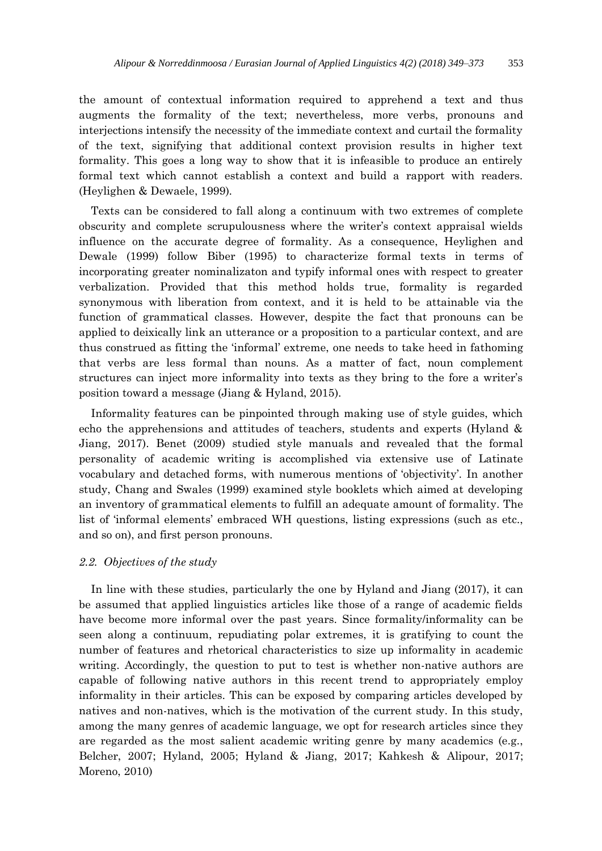the amount of contextual information required to apprehend a text and thus augments the formality of the text; nevertheless, more verbs, pronouns and interjections intensify the necessity of the immediate context and curtail the formality of the text, signifying that additional context provision results in higher text formality. This goes a long way to show that it is infeasible to produce an entirely formal text which cannot establish a context and build a rapport with readers. (Heylighen & Dewaele, 1999).

Texts can be considered to fall along a continuum with two extremes of complete obscurity and complete scrupulousness where the writer's context appraisal wields influence on the accurate degree of formality. As a consequence, Heylighen and Dewale (1999) follow Biber (1995) to characterize formal texts in terms of incorporating greater nominalizaton and typify informal ones with respect to greater verbalization. Provided that this method holds true, formality is regarded synonymous with liberation from context, and it is held to be attainable via the function of grammatical classes. However, despite the fact that pronouns can be applied to deixically link an utterance or a proposition to a particular context, and are thus construed as fitting the 'informal' extreme, one needs to take heed in fathoming that verbs are less formal than nouns. As a matter of fact, noun complement structures can inject more informality into texts as they bring to the fore a writer's position toward a message (Jiang & Hyland, 2015).

Informality features can be pinpointed through making use of style guides, which echo the apprehensions and attitudes of teachers, students and experts (Hyland & Jiang, 2017). Benet (2009) studied style manuals and revealed that the formal personality of academic writing is accomplished via extensive use of Latinate vocabulary and detached forms, with numerous mentions of 'objectivity'. In another study, Chang and Swales (1999) examined style booklets which aimed at developing an inventory of grammatical elements to fulfill an adequate amount of formality. The list of 'informal elements' embraced WH questions, listing expressions (such as etc., and so on), and first person pronouns.

# *2.2. Objectives of the study*

In line with these studies, particularly the one by Hyland and Jiang (2017), it can be assumed that applied linguistics articles like those of a range of academic fields have become more informal over the past years. Since formality/informality can be seen along a continuum, repudiating polar extremes, it is gratifying to count the number of features and rhetorical characteristics to size up informality in academic writing. Accordingly, the question to put to test is whether non-native authors are capable of following native authors in this recent trend to appropriately employ informality in their articles. This can be exposed by comparing articles developed by natives and non-natives, which is the motivation of the current study. In this study, among the many genres of academic language, we opt for research articles since they are regarded as the most salient academic writing genre by many academics (e.g., Belcher, 2007; Hyland, 2005; Hyland & Jiang, 2017; Kahkesh & Alipour, 2017; Moreno, 2010)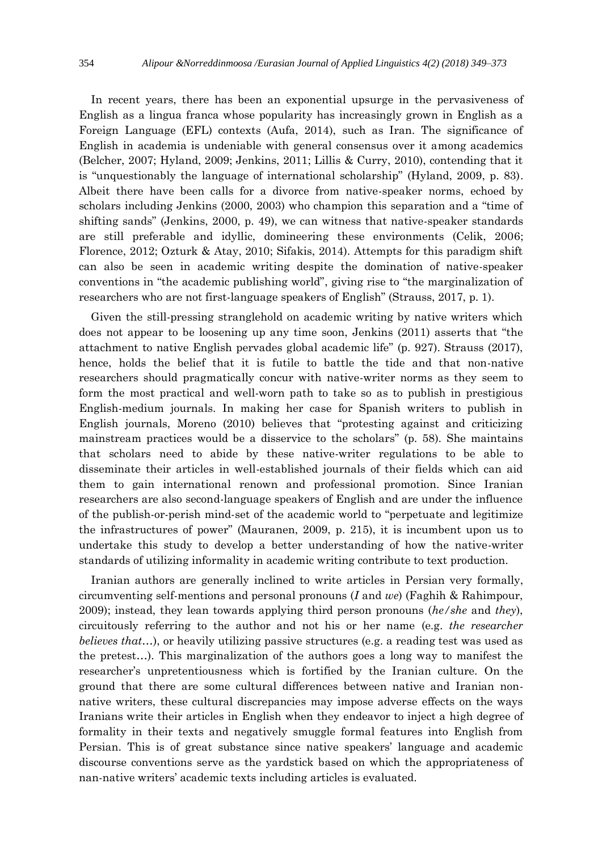In recent years, there has been an exponential upsurge in the pervasiveness of English as a lingua franca whose popularity has increasingly grown in English as a Foreign Language (EFL) contexts (Aufa, 2014), such as Iran. The significance of English in academia is undeniable with general consensus over it among academics (Belcher, 2007; Hyland, 2009; Jenkins, 2011; Lillis & Curry, 2010), contending that it is "unquestionably the language of international scholarship" (Hyland, 2009, p. 83). Albeit there have been calls for a divorce from native-speaker norms, echoed by scholars including Jenkins (2000, 2003) who champion this separation and a "time of shifting sands" (Jenkins, 2000, p. 49), we can witness that native-speaker standards are still preferable and idyllic, domineering these environments (Celik, 2006; Florence, 2012; Ozturk & Atay, 2010; Sifakis, 2014). Attempts for this paradigm shift can also be seen in academic writing despite the domination of native-speaker conventions in "the academic publishing world", giving rise to "the marginalization of researchers who are not first-language speakers of English" (Strauss, 2017, p. 1).

Given the still-pressing stranglehold on academic writing by native writers which does not appear to be loosening up any time soon, Jenkins (2011) asserts that "the attachment to native English pervades global academic life" (p. 927). Strauss (2017), hence, holds the belief that it is futile to battle the tide and that non-native researchers should pragmatically concur with native-writer norms as they seem to form the most practical and well-worn path to take so as to publish in prestigious English-medium journals. In making her case for Spanish writers to publish in English journals, Moreno (2010) believes that "protesting against and criticizing mainstream practices would be a disservice to the scholars" (p. 58). She maintains that scholars need to abide by these native-writer regulations to be able to disseminate their articles in well-established journals of their fields which can aid them to gain international renown and professional promotion. Since Iranian researchers are also second-language speakers of English and are under the influence of the publish-or-perish mind-set of the academic world to "perpetuate and legitimize the infrastructures of power" (Mauranen, 2009, p. 215), it is incumbent upon us to undertake this study to develop a better understanding of how the native-writer standards of utilizing informality in academic writing contribute to text production.

Iranian authors are generally inclined to write articles in Persian very formally, circumventing self-mentions and personal pronouns (*I* and *we*) (Faghih & Rahimpour, 2009); instead, they lean towards applying third person pronouns (*he/she* and *they*), circuitously referring to the author and not his or her name (e.g. *the researcher believes that*...), or heavily utilizing passive structures (e.g. a reading test was used as the pretest…). This marginalization of the authors goes a long way to manifest the researcher's unpretentiousness which is fortified by the Iranian culture. On the ground that there are some cultural differences between native and Iranian nonnative writers, these cultural discrepancies may impose adverse effects on the ways Iranians write their articles in English when they endeavor to inject a high degree of formality in their texts and negatively smuggle formal features into English from Persian. This is of great substance since native speakers' language and academic discourse conventions serve as the yardstick based on which the appropriateness of nan-native writers' academic texts including articles is evaluated.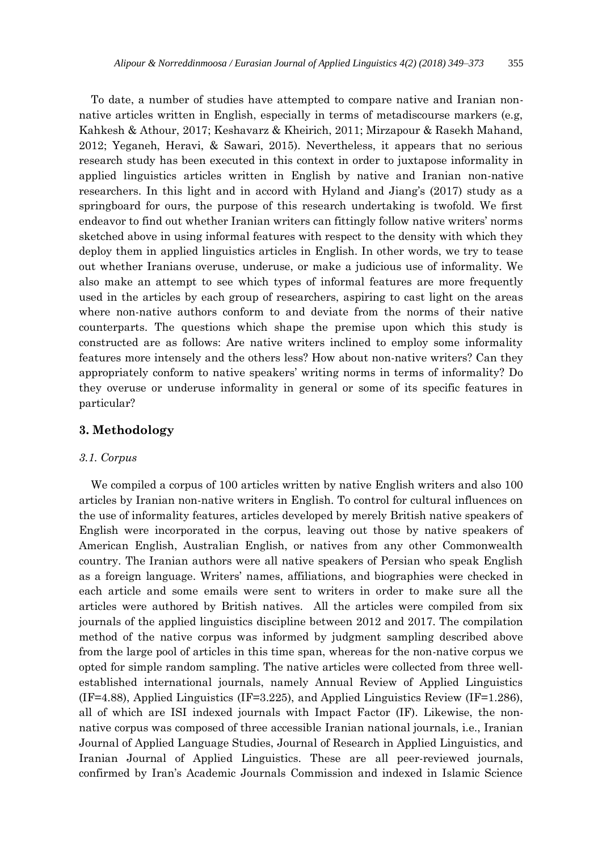To date, a number of studies have attempted to compare native and Iranian nonnative articles written in English, especially in terms of metadiscourse markers (e.g, Kahkesh & Athour, 2017; Keshavarz & Kheirich, 2011; Mirzapour & Rasekh Mahand, 2012; Yeganeh, Heravi, & Sawari, 2015). Nevertheless, it appears that no serious research study has been executed in this context in order to juxtapose informality in applied linguistics articles written in English by native and Iranian non-native researchers. In this light and in accord with Hyland and Jiang's (2017) study as a springboard for ours, the purpose of this research undertaking is twofold. We first endeavor to find out whether Iranian writers can fittingly follow native writers' norms sketched above in using informal features with respect to the density with which they deploy them in applied linguistics articles in English. In other words, we try to tease out whether Iranians overuse, underuse, or make a judicious use of informality. We also make an attempt to see which types of informal features are more frequently used in the articles by each group of researchers, aspiring to cast light on the areas where non-native authors conform to and deviate from the norms of their native counterparts. The questions which shape the premise upon which this study is constructed are as follows: Are native writers inclined to employ some informality features more intensely and the others less? How about non-native writers? Can they appropriately conform to native speakers' writing norms in terms of informality? Do they overuse or underuse informality in general or some of its specific features in particular?

# **3. Methodology**

## *3.1. Corpus*

We compiled a corpus of 100 articles written by native English writers and also 100 articles by Iranian non-native writers in English. To control for cultural influences on the use of informality features, articles developed by merely British native speakers of English were incorporated in the corpus, leaving out those by native speakers of American English, Australian English, or natives from any other Commonwealth country. The Iranian authors were all native speakers of Persian who speak English as a foreign language. Writers' names, affiliations, and biographies were checked in each article and some emails were sent to writers in order to make sure all the articles were authored by British natives. All the articles were compiled from six journals of the applied linguistics discipline between 2012 and 2017. The compilation method of the native corpus was informed by judgment sampling described above from the large pool of articles in this time span, whereas for the non-native corpus we opted for simple random sampling. The native articles were collected from three wellestablished international journals, namely Annual Review of Applied Linguistics  $(IF=4.88)$ , Applied Linguistics  $(IF=3.225)$ , and Applied Linguistics Review  $(IF=1.286)$ , all of which are ISI indexed journals with Impact Factor (IF). Likewise, the nonnative corpus was composed of three accessible Iranian national journals, i.e., Iranian Journal of Applied Language Studies, Journal of Research in Applied Linguistics, and Iranian Journal of Applied Linguistics. These are all peer-reviewed journals, confirmed by Iran's Academic Journals Commission and indexed in Islamic Science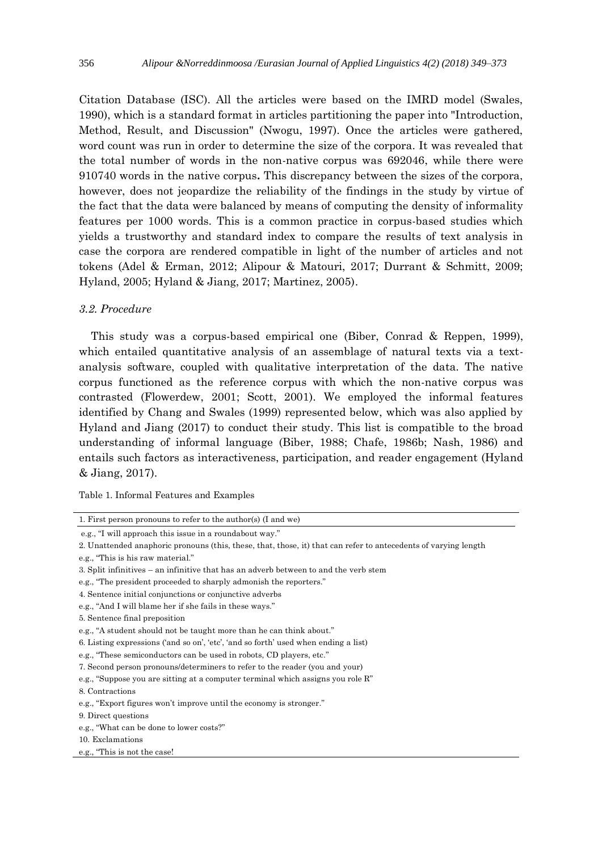Citation Database (ISC). All the articles were based on the IMRD model (Swales, 1990), which is a standard format in articles partitioning the paper into "Introduction, Method, Result, and Discussion" (Nwogu, 1997). Once the articles were gathered, word count was run in order to determine the size of the corpora. It was revealed that the total number of words in the non-native corpus was 692046, while there were 910740 words in the native corpus**.** This discrepancy between the sizes of the corpora, however, does not jeopardize the reliability of the findings in the study by virtue of the fact that the data were balanced by means of computing the density of informality features per 1000 words. This is a common practice in corpus-based studies which yields a trustworthy and standard index to compare the results of text analysis in case the corpora are rendered compatible in light of the number of articles and not tokens (Adel & Erman, 2012; Alipour & Matouri, 2017; Durrant & Schmitt, 2009; Hyland, 2005; Hyland & Jiang, 2017; Martinez, 2005).

## *3.2. Procedure*

This study was a corpus-based empirical one (Biber, Conrad & Reppen, 1999), which entailed quantitative analysis of an assemblage of natural texts via a textanalysis software, coupled with qualitative interpretation of the data. The native corpus functioned as the reference corpus with which the non-native corpus was contrasted (Flowerdew, 2001; Scott, 2001). We employed the informal features identified by Chang and Swales (1999) represented below, which was also applied by Hyland and Jiang (2017) to conduct their study. This list is compatible to the broad understanding of informal language (Biber, 1988; Chafe, 1986b; Nash, 1986) and entails such factors as interactiveness, participation, and reader engagement (Hyland & Jiang, 2017).

Table 1. Informal Features and Examples

<sup>1.</sup> First person pronouns to refer to the author(s) (I and we) e.g., "I will approach this issue in a roundabout way." 2. Unattended anaphoric pronouns (this, these, that, those, it) that can refer to antecedents of varying length e.g., "This is his raw material." 3. Split infinitives – an infinitive that has an adverb between to and the verb stem e.g., "The president proceeded to sharply admonish the reporters." 4. Sentence initial conjunctions or conjunctive adverbs e.g., "And I will blame her if she fails in these ways." 5. Sentence final preposition e.g., "A student should not be taught more than he can think about." 6. Listing expressions ('and so on', 'etc', 'and so forth' used when ending a list) e.g., "These semiconductors can be used in robots, CD players, etc." 7. Second person pronouns/determiners to refer to the reader (you and your) e.g., "Suppose you are sitting at a computer terminal which assigns you role R" 8. Contractions e.g., "Export figures won't improve until the economy is stronger." 9. Direct questions e.g., "What can be done to lower costs?" 10. Exclamations

e.g., "This is not the case!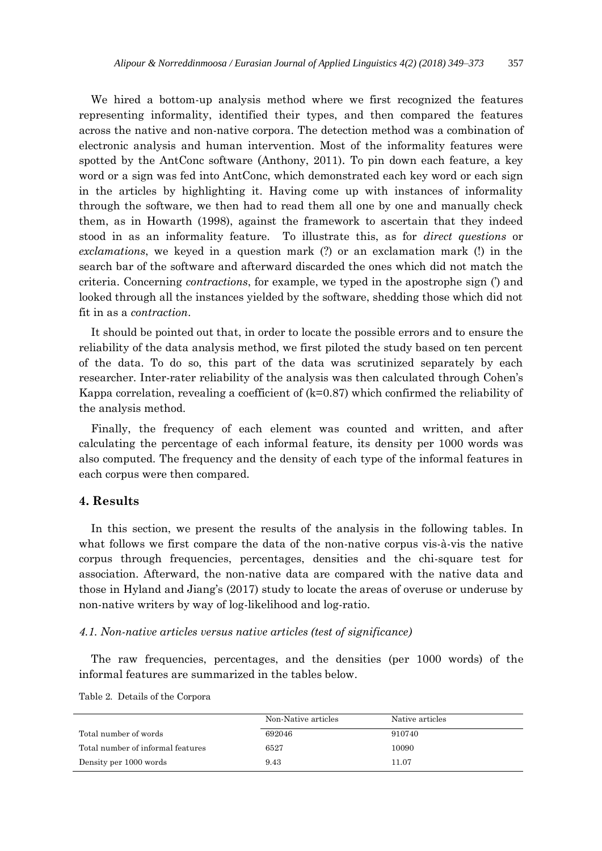We hired a bottom-up analysis method where we first recognized the features representing informality, identified their types, and then compared the features across the native and non-native corpora. The detection method was a combination of electronic analysis and human intervention. Most of the informality features were spotted by the AntConc software (Anthony, 2011). To pin down each feature, a key word or a sign was fed into AntConc, which demonstrated each key word or each sign in the articles by highlighting it. Having come up with instances of informality through the software, we then had to read them all one by one and manually check them, as in Howarth (1998), against the framework to ascertain that they indeed stood in as an informality feature. To illustrate this, as for *direct questions* or *exclamations*, we keyed in a question mark (?) or an exclamation mark (!) in the search bar of the software and afterward discarded the ones which did not match the criteria. Concerning *contractions*, for example, we typed in the apostrophe sign (') and looked through all the instances yielded by the software, shedding those which did not fit in as a *contraction*.

It should be pointed out that, in order to locate the possible errors and to ensure the reliability of the data analysis method, we first piloted the study based on ten percent of the data. To do so, this part of the data was scrutinized separately by each researcher. Inter-rater reliability of the analysis was then calculated through Cohen's Kappa correlation, revealing a coefficient of (k=0.87) which confirmed the reliability of the analysis method.

Finally, the frequency of each element was counted and written, and after calculating the percentage of each informal feature, its density per 1000 words was also computed. The frequency and the density of each type of the informal features in each corpus were then compared.

# **4. Results**

In this section, we present the results of the analysis in the following tables. In what follows we first compare the data of the non-native corpus vis-à-vis the native corpus through frequencies, percentages, densities and the chi-square test for association. Afterward, the non-native data are compared with the native data and those in Hyland and Jiang's (2017) study to locate the areas of overuse or underuse by non-native writers by way of log-likelihood and log-ratio.

## *4.1. Non-native articles versus native articles (test of significance)*

The raw frequencies, percentages, and the densities (per 1000 words) of the informal features are summarized in the tables below.

|                                   | Non-Native articles | Native articles |
|-----------------------------------|---------------------|-----------------|
| Total number of words             | 692046              | 910740          |
| Total number of informal features | 6527                | 10090           |
| Density per 1000 words            | 9.43                | 11.07           |

Table 2. Details of the Corpora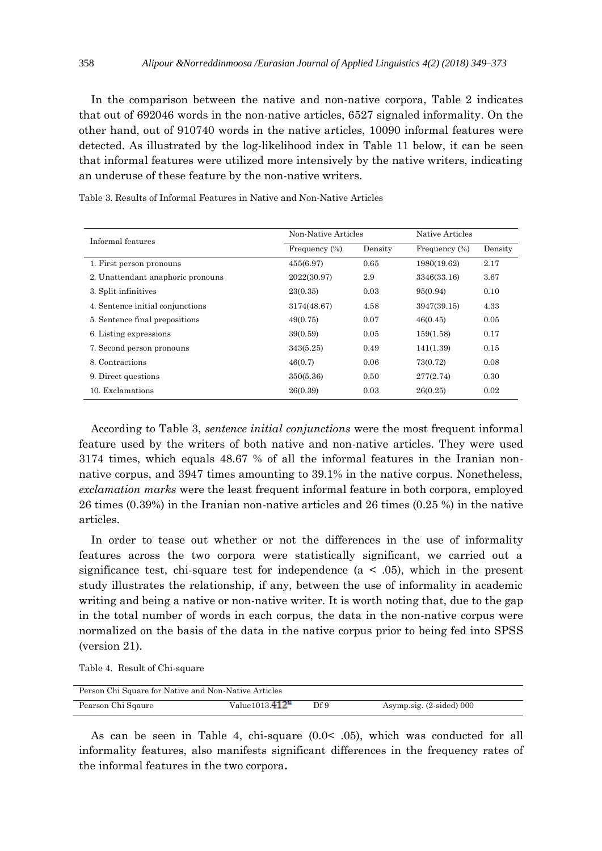In the comparison between the native and non-native corpora, Table 2 indicates that out of 692046 words in the non-native articles, 6527 signaled informality. On the other hand, out of 910740 words in the native articles, 10090 informal features were detected. As illustrated by the log-likelihood index in Table 11 below, it can be seen that informal features were utilized more intensively by the native writers, indicating an underuse of these feature by the non-native writers.

| Informal features                 | Non-Native Articles |         | Native Articles  |         |  |
|-----------------------------------|---------------------|---------|------------------|---------|--|
|                                   | Frequency $(\%)$    | Density | Frequency $(\%)$ | Density |  |
| 1. First person pronouns          | 455(6.97)           | 0.65    | 1980(19.62)      | 2.17    |  |
| 2. Unattendant anaphoric pronouns | 2022(30.97)         | 2.9     | 3346(33.16)      | 3.67    |  |
| 3. Split infinitives              | 23(0.35)            | 0.03    | 95(0.94)         | 0.10    |  |
| 4. Sentence initial conjunctions  | 3174(48.67)         | 4.58    | 3947(39.15)      | 4.33    |  |
| 5. Sentence final prepositions    | 49(0.75)            | 0.07    | 46(0.45)         | 0.05    |  |
| 6. Listing expressions            | 39(0.59)            | 0.05    | 159(1.58)        | 0.17    |  |
| 7. Second person pronouns         | 343(5.25)           | 0.49    | 141(1.39)        | 0.15    |  |
| 8. Contractions                   | 46(0.7)             | 0.06    | 73(0.72)         | 0.08    |  |
| 9. Direct questions               | 350(5.36)           | 0.50    | 277(2.74)        | 0.30    |  |
| 10. Exclamations                  | 26(0.39)            | 0.03    | 26(0.25)         | 0.02    |  |

Table 3. Results of Informal Features in Native and Non-Native Articles

According to Table 3, *sentence initial conjunctions* were the most frequent informal feature used by the writers of both native and non-native articles. They were used 3174 times, which equals 48.67 % of all the informal features in the Iranian nonnative corpus, and 3947 times amounting to 39.1% in the native corpus. Nonetheless, *exclamation marks* were the least frequent informal feature in both corpora, employed 26 times (0.39%) in the Iranian non-native articles and 26 times (0.25 %) in the native articles.

In order to tease out whether or not the differences in the use of informality features across the two corpora were statistically significant, we carried out a significance test, chi-square test for independence ( $a < .05$ ), which in the present study illustrates the relationship, if any, between the use of informality in academic writing and being a native or non-native writer. It is worth noting that, due to the gap in the total number of words in each corpus, the data in the non-native corpus were normalized on the basis of the data in the native corpus prior to being fed into SPSS (version 21).

Table 4. Result of Chi-square

| Person Chi Square for Native and Non-Native Articles |                    |      |                                     |  |  |  |
|------------------------------------------------------|--------------------|------|-------------------------------------|--|--|--|
| Pearson Chi Sqaure                                   | Value $1013.412^a$ | Df 9 | Asymp.sig. $(2\textrm{-sided})$ 000 |  |  |  |

As can be seen in Table 4, chi-square  $(0.0< 0.05)$ , which was conducted for all informality features, also manifests significant differences in the frequency rates of the informal features in the two corpora**.**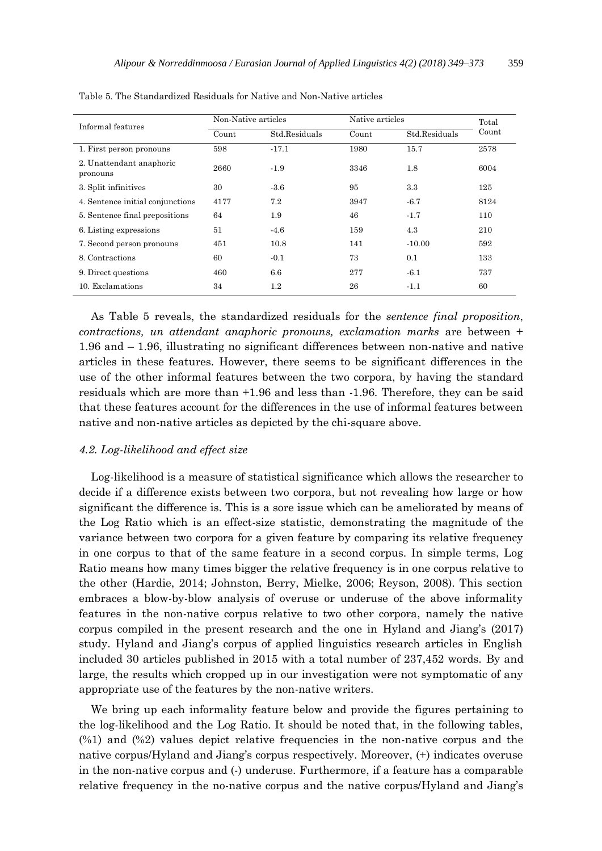| Informal features                    | Non-Native articles |               | Native articles |               | Total |
|--------------------------------------|---------------------|---------------|-----------------|---------------|-------|
|                                      | Count               | Std.Residuals | Count           | Std.Residuals | Count |
| 1. First person pronouns             | 598                 | $-17.1$       | 1980            | 15.7          | 2578  |
| 2. Unattendant anaphoric<br>pronouns | 2660                | $-1.9$        | 3346            | 1.8           | 6004  |
| 3. Split infinitives                 | 30                  | $-3.6$        | 95              | 3.3           | 125   |
| 4. Sentence initial conjunctions     | 4177                | 7.2           | 3947            | $-6.7$        | 8124  |
| 5. Sentence final prepositions       | 64                  | 1.9           | 46              | $-1.7$        | 110   |
| 6. Listing expressions               | 51                  | $-4.6$        | 159             | 4.3           | 210   |
| 7. Second person pronouns            | 451                 | 10.8          | 141             | $-10.00$      | 592   |
| 8. Contractions                      | 60                  | $-0.1$        | 73              | 0.1           | 133   |
| 9. Direct questions                  | 460                 | 6.6           | 277             | $-6.1$        | 737   |
| 10. Exclamations                     | 34                  | $1.2\,$       | 26              | $-1.1$        | 60    |

Table 5. The Standardized Residuals for Native and Non-Native articles

As Table 5 reveals, the standardized residuals for the *sentence final proposition*, *contractions, un attendant anaphoric pronouns, exclamation marks* are between + 1.96 and – 1.96, illustrating no significant differences between non-native and native articles in these features. However, there seems to be significant differences in the use of the other informal features between the two corpora, by having the standard residuals which are more than +1.96 and less than -1.96. Therefore, they can be said that these features account for the differences in the use of informal features between native and non-native articles as depicted by the chi-square above.

# *4.2. Log-likelihood and effect size*

Log-likelihood is a measure of statistical significance which allows the researcher to decide if a difference exists between two corpora, but not revealing how large or how significant the difference is. This is a sore issue which can be ameliorated by means of the Log Ratio which is an effect-size statistic, demonstrating the magnitude of the variance between two corpora for a given feature by comparing its relative frequency in one corpus to that of the same feature in a second corpus. In simple terms, Log Ratio means how many times bigger the relative frequency is in one corpus relative to the other (Hardie, 2014; Johnston, Berry, Mielke, 2006; Reyson, 2008). This section embraces a blow-by-blow analysis of overuse or underuse of the above informality features in the non-native corpus relative to two other corpora, namely the native corpus compiled in the present research and the one in Hyland and Jiang's (2017) study. Hyland and Jiang's corpus of applied linguistics research articles in English included 30 articles published in 2015 with a total number of 237,452 words. By and large, the results which cropped up in our investigation were not symptomatic of any appropriate use of the features by the non-native writers.

We bring up each informality feature below and provide the figures pertaining to the log-likelihood and the Log Ratio. It should be noted that, in the following tables, (%1) and (%2) values depict relative frequencies in the non-native corpus and the native corpus/Hyland and Jiang's corpus respectively. Moreover, (+) indicates overuse in the non-native corpus and (-) underuse. Furthermore, if a feature has a comparable relative frequency in the no-native corpus and the native corpus/Hyland and Jiang's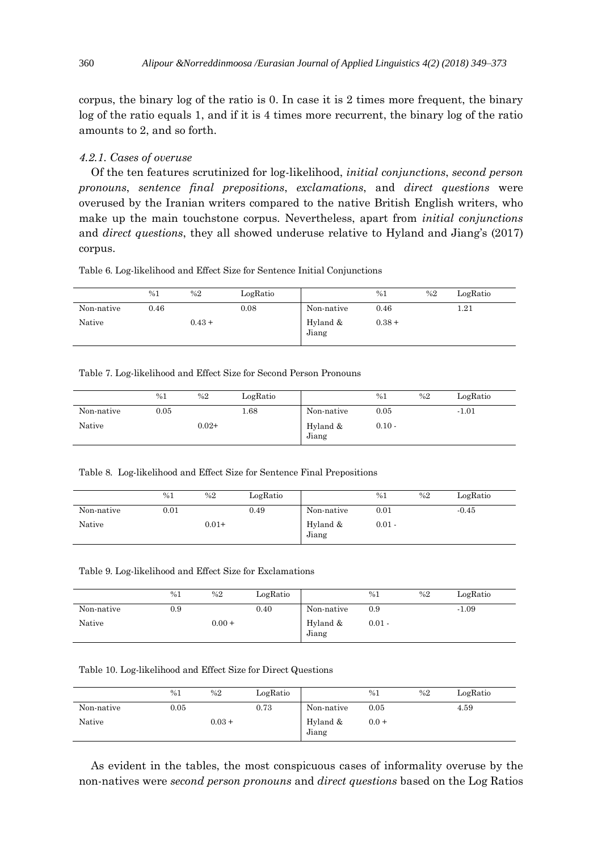corpus, the binary log of the ratio is 0. In case it is 2 times more frequent, the binary log of the ratio equals 1, and if it is 4 times more recurrent, the binary log of the ratio amounts to 2, and so forth.

# *4.2.1. Cases of overuse*

Of the ten features scrutinized for log-likelihood, *initial conjunctions*, *second person pronouns*, *sentence final prepositions*, *exclamations*, and *direct questions* were overused by the Iranian writers compared to the native British English writers, who make up the main touchstone corpus. Nevertheless, apart from *initial conjunctions*  and *direct questions*, they all showed underuse relative to Hyland and Jiang's (2017) corpus.

Table 6. Log-likelihood and Effect Size for Sentence Initial Conjunctions

|            | %1   | %2       | LogRatio |                   | %1       | %2 | LogRatio |
|------------|------|----------|----------|-------------------|----------|----|----------|
| Non-native | 0.46 |          | 0.08     | Non-native        | 0.46     |    | 1.21     |
| Native     |      | $0.43 +$ |          | Hyland &<br>Jiang | $0.38 +$ |    |          |

Table 7. Log-likelihood and Effect Size for Second Person Pronouns

|            | %1   | %2      | LogRatio |                   | %1       | %2 | LogRatio |
|------------|------|---------|----------|-------------------|----------|----|----------|
| Non-native | 0.05 |         | 1.68     | Non-native        | 0.05     |    | $-1.01$  |
| Native     |      | $0.02+$ |          | Hyland &<br>Jiang | $0.10 -$ |    |          |

Table 8. Log-likelihood and Effect Size for Sentence Final Prepositions

|            | %1   | %2      | LogRatio |                   | %1       | %2 | LogRatio |
|------------|------|---------|----------|-------------------|----------|----|----------|
| Non-native | 0.01 |         | 0.49     | Non-native        | 0.01     |    | $-0.45$  |
| Native     |      | $0.01+$ |          | Hyland &<br>Jiang | $0.01 -$ |    |          |

Table 9. Log-likelihood and Effect Size for Exclamations

|            | %1       | %2       | LogRatio |                   | %1       | %2 | LogRatio |
|------------|----------|----------|----------|-------------------|----------|----|----------|
| Non-native | $_{0.9}$ |          | 0.40     | Non-native        | 0.9      |    | $-1.09$  |
| Native     |          | $0.00 +$ |          | Hyland &<br>Jiang | $0.01 -$ |    |          |

Table 10. Log-likelihood and Effect Size for Direct Questions

|            | %1   | %2       | LogRatio |                   | %1      | %2 | LogRatio |
|------------|------|----------|----------|-------------------|---------|----|----------|
| Non-native | 0.05 |          | 0.73     | Non-native        | 0.05    |    | 4.59     |
| Native     |      | $0.03 +$ |          | Hyland &<br>Jiang | $0.0 +$ |    |          |

As evident in the tables, the most conspicuous cases of informality overuse by the non-natives were *second person pronouns* and *direct questions* based on the Log Ratios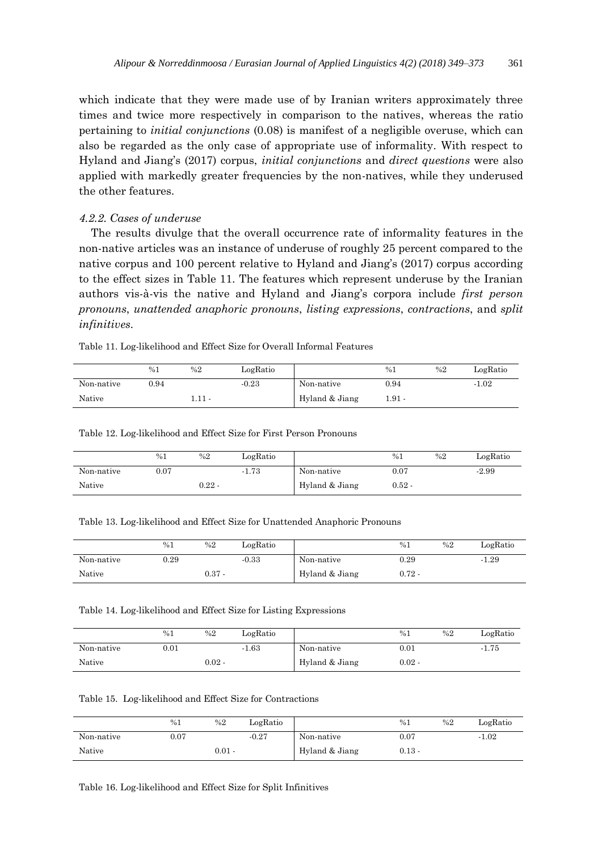which indicate that they were made use of by Iranian writers approximately three times and twice more respectively in comparison to the natives, whereas the ratio pertaining to *initial conjunctions* (0.08) is manifest of a negligible overuse, which can also be regarded as the only case of appropriate use of informality. With respect to Hyland and Jiang's (2017) corpus, *initial conjunctions* and *direct questions* were also applied with markedly greater frequencies by the non-natives, while they underused the other features.

#### *4.2.2. Cases of underuse*

The results divulge that the overall occurrence rate of informality features in the non-native articles was an instance of underuse of roughly 25 percent compared to the native corpus and 100 percent relative to Hyland and Jiang's (2017) corpus according to the effect sizes in Table 11. The features which represent underuse by the Iranian authors vis-à-vis the native and Hyland and Jiang's corpora include *first person pronouns*, *unattended anaphoric pronouns*, *listing expressions*, *contractions*, and *split infinitives*.

Table 11. Log-likelihood and Effect Size for Overall Informal Features

|            | %1   | %2     | LogRatio |                | %1     | %2 | LogRatio |
|------------|------|--------|----------|----------------|--------|----|----------|
| Non-native | 0.94 |        | $-0.23$  | Non-native     | 0.94   |    | $-1.02$  |
| Native     |      | 1.11 - |          | Hyland & Jiang | 1.91 - |    |          |

Table 12. Log-likelihood and Effect Size for First Person Pronouns

|            | %1   | %2       | LogRatio |                | %1       | %2 | LogRatio |
|------------|------|----------|----------|----------------|----------|----|----------|
| Non-native | 0.07 |          | $-1.73$  | Non-native     | 0.07     |    | $-2.99$  |
| Native     |      | $0.22$ - |          | Hyland & Jiang | $0.52 -$ |    |          |

Table 13. Log-likelihood and Effect Size for Unattended Anaphoric Pronouns

|            | %1   | %2       | LogRatio |                | %1       | %2 | LogRatio |
|------------|------|----------|----------|----------------|----------|----|----------|
| Non-native | 0.29 |          | $-0.33$  | Non-native     | 0.29     |    | $-1.29$  |
| Native     |      | $0.37 -$ |          | Hyland & Jiang | $0.72$ - |    |          |

#### Table 14. Log-likelihood and Effect Size for Listing Expressions

|            | %1   | %2       | LogRatio |                | %1        | %2 | LogRatio |
|------------|------|----------|----------|----------------|-----------|----|----------|
| Non-native | 0.01 |          | $-1.63$  | Non-native     | $_{0.01}$ |    | $-1.75$  |
| Native     |      | $0.02$ - |          | Hyland & Jiang | $0.02 -$  |    |          |

Table 15. Log-likelihood and Effect Size for Contractions

|            | %1        | %2       | LogRatio |                | %1        | %2 | LogRatio |
|------------|-----------|----------|----------|----------------|-----------|----|----------|
| Non-native | $_{0.07}$ |          | $-0.27$  | Non-native     | $_{0.07}$ |    | $-1.02$  |
| Native     |           | $0.01 -$ |          | Hyland & Jiang | $0.13 -$  |    |          |

Table 16. Log-likelihood and Effect Size for Split Infinitives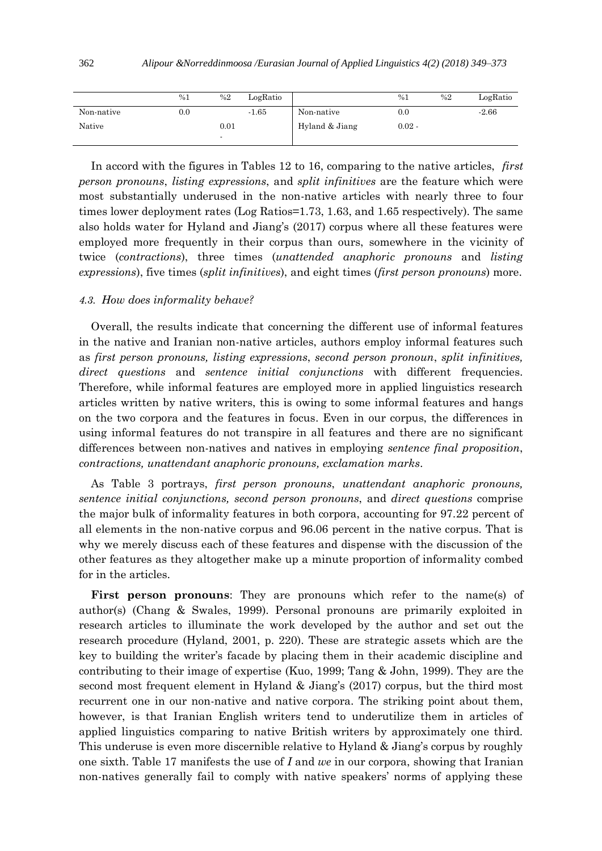|            | %1       | %2   | LogRatio |                | %1       | %2 | LogRatio |
|------------|----------|------|----------|----------------|----------|----|----------|
| Non-native | $_{0.0}$ |      | $-1.65$  | Non-native     | 0.0      |    | $-2.66$  |
| Native     |          | 0.01 |          | Hyland & Jiang | $0.02 -$ |    |          |
|            |          |      |          |                |          |    |          |

In accord with the figures in Tables 12 to 16, comparing to the native articles, *first person pronouns*, *listing expressions*, and *split infinitives* are the feature which were most substantially underused in the non-native articles with nearly three to four times lower deployment rates (Log Ratios=1.73, 1.63, and 1.65 respectively). The same also holds water for Hyland and Jiang's (2017) corpus where all these features were employed more frequently in their corpus than ours, somewhere in the vicinity of twice (*contractions*), three times (*unattended anaphoric pronouns* and *listing expressions*), five times (*split infinitives*), and eight times (*first person pronouns*) more.

## *4.3. How does informality behave?*

Overall, the results indicate that concerning the different use of informal features in the native and Iranian non-native articles, authors employ informal features such as *first person pronouns, listing expressions*, *second person pronoun*, *split infinitives, direct questions* and *sentence initial conjunctions* with different frequencies. Therefore, while informal features are employed more in applied linguistics research articles written by native writers, this is owing to some informal features and hangs on the two corpora and the features in focus. Even in our corpus, the differences in using informal features do not transpire in all features and there are no significant differences between non-natives and natives in employing *sentence final proposition*, *contractions, unattendant anaphoric pronouns, exclamation marks*.

As Table 3 portrays, *first person pronouns*, *unattendant anaphoric pronouns, sentence initial conjunctions, second person pronouns*, and *direct questions* comprise the major bulk of informality features in both corpora, accounting for 97.22 percent of all elements in the non-native corpus and 96.06 percent in the native corpus. That is why we merely discuss each of these features and dispense with the discussion of the other features as they altogether make up a minute proportion of informality combed for in the articles.

**First person pronouns**: They are pronouns which refer to the name(s) of author(s) (Chang & Swales, 1999). Personal pronouns are primarily exploited in research articles to illuminate the work developed by the author and set out the research procedure (Hyland, 2001, p. 220). These are strategic assets which are the key to building the writer's facade by placing them in their academic discipline and contributing to their image of expertise (Kuo, 1999; Tang & John, 1999). They are the second most frequent element in Hyland & Jiang's (2017) corpus, but the third most recurrent one in our non-native and native corpora. The striking point about them, however, is that Iranian English writers tend to underutilize them in articles of applied linguistics comparing to native British writers by approximately one third. This underuse is even more discernible relative to Hyland & Jiang's corpus by roughly one sixth. Table 17 manifests the use of *I* and *we* in our corpora, showing that Iranian non-natives generally fail to comply with native speakers' norms of applying these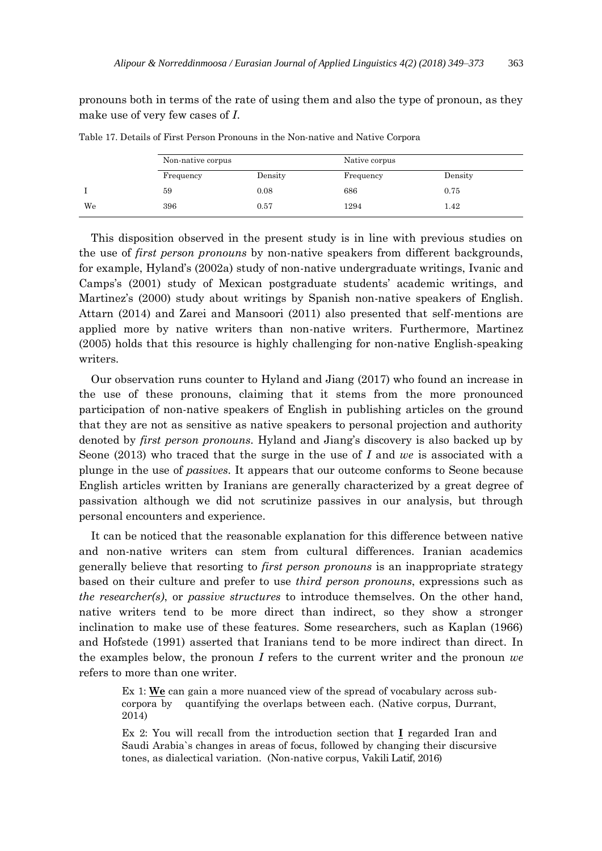pronouns both in terms of the rate of using them and also the type of pronoun, as they make use of very few cases of *I*.

|    | Non-native corpus |         | Native corpus |         |  |
|----|-------------------|---------|---------------|---------|--|
|    | Frequency         | Density | Frequency     | Density |  |
|    | 59                | 0.08    | 686           | 0.75    |  |
| We | 396               | 0.57    | 1294          | 1.42    |  |

Table 17. Details of First Person Pronouns in the Non-native and Native Corpora

This disposition observed in the present study is in line with previous studies on the use of *first person pronouns* by non-native speakers from different backgrounds, for example, Hyland's (2002a) study of non-native undergraduate writings, Ivanic and Camps's (2001) study of Mexican postgraduate students' academic writings, and Martinez's (2000) study about writings by Spanish non-native speakers of English. Attarn (2014) and Zarei and Mansoori (2011) also presented that self-mentions are applied more by native writers than non-native writers. Furthermore, Martinez (2005) holds that this resource is highly challenging for non-native English-speaking writers.

Our observation runs counter to Hyland and Jiang (2017) who found an increase in the use of these pronouns, claiming that it stems from the more pronounced participation of non-native speakers of English in publishing articles on the ground that they are not as sensitive as native speakers to personal projection and authority denoted by *first person pronouns*. Hyland and Jiang's discovery is also backed up by Seone (2013) who traced that the surge in the use of *I* and *we* is associated with a plunge in the use of *passives*. It appears that our outcome conforms to Seone because English articles written by Iranians are generally characterized by a great degree of passivation although we did not scrutinize passives in our analysis, but through personal encounters and experience.

It can be noticed that the reasonable explanation for this difference between native and non-native writers can stem from cultural differences. Iranian academics generally believe that resorting to *first person pronouns* is an inappropriate strategy based on their culture and prefer to use *third person pronouns*, expressions such as *the researcher(s)*, or *passive structures* to introduce themselves. On the other hand, native writers tend to be more direct than indirect, so they show a stronger inclination to make use of these features. Some researchers, such as Kaplan (1966) and Hofstede (1991) asserted that Iranians tend to be more indirect than direct. In the examples below, the pronoun *I* refers to the current writer and the pronoun *we* refers to more than one writer.

Ex 1: **We** can gain a more nuanced view of the spread of vocabulary across subcorpora by quantifying the overlaps between each. (Native corpus, Durrant, 2014)

Ex 2: You will recall from the introduction section that **I** regarded Iran and Saudi Arabia`s changes in areas of focus, followed by changing their discursive tones, as dialectical variation. (Non-native corpus, Vakili Latif, 2016)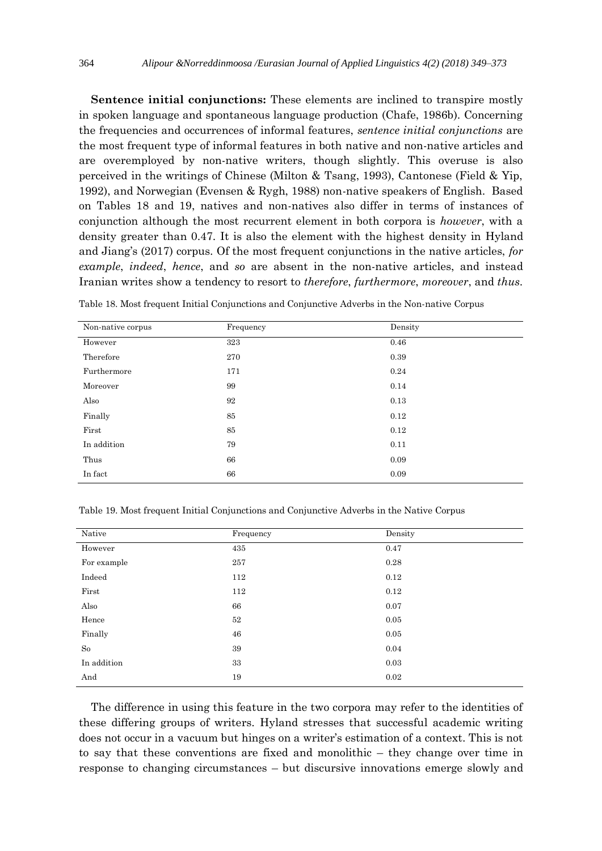**Sentence initial conjunctions:** These elements are inclined to transpire mostly in spoken language and spontaneous language production (Chafe, 1986b). Concerning the frequencies and occurrences of informal features, *sentence initial conjunctions* are the most frequent type of informal features in both native and non-native articles and are overemployed by non-native writers, though slightly. This overuse is also perceived in the writings of Chinese (Milton & Tsang, 1993), Cantonese (Field & Yip, 1992), and Norwegian (Evensen & Rygh, 1988) non-native speakers of English. Based on Tables 18 and 19, natives and non-natives also differ in terms of instances of conjunction although the most recurrent element in both corpora is *however*, with a density greater than 0.47. It is also the element with the highest density in Hyland and Jiang's (2017) corpus. Of the most frequent conjunctions in the native articles, *for example*, *indeed*, *hence*, and *so* are absent in the non-native articles, and instead Iranian writes show a tendency to resort to *therefore*, *furthermore*, *moreover*, and *thus*.

| Non-native corpus | Frequency | Density |
|-------------------|-----------|---------|
| However           | 323       | 0.46    |
| Therefore         | 270       | 0.39    |
| Furthermore       | 171       | 0.24    |
| Moreover          | 99        | 0.14    |
| Also              | 92        | 0.13    |
| Finally           | 85        | 0.12    |
| First             | 85        | 0.12    |
| In addition       | 79        | 0.11    |
| Thus              | 66        | 0.09    |
| In fact           | 66        | 0.09    |

Table 18. Most frequent Initial Conjunctions and Conjunctive Adverbs in the Non-native Corpus

Table 19. Most frequent Initial Conjunctions and Conjunctive Adverbs in the Native Corpus

| Native      | Frequency | Density |
|-------------|-----------|---------|
| However     | 435       | 0.47    |
| For example | 257       | 0.28    |
| Indeed      | 112       | 0.12    |
| First       | 112       | 0.12    |
| Also        | 66        | 0.07    |
| Hence       | $52\,$    | 0.05    |
| Finally     | 46        | 0.05    |
| So          | 39        | 0.04    |
| In addition | 33        | 0.03    |
| And         | 19        | 0.02    |

The difference in using this feature in the two corpora may refer to the identities of these differing groups of writers. Hyland stresses that successful academic writing does not occur in a vacuum but hinges on a writer's estimation of a context. This is not to say that these conventions are fixed and monolithic – they change over time in response to changing circumstances – but discursive innovations emerge slowly and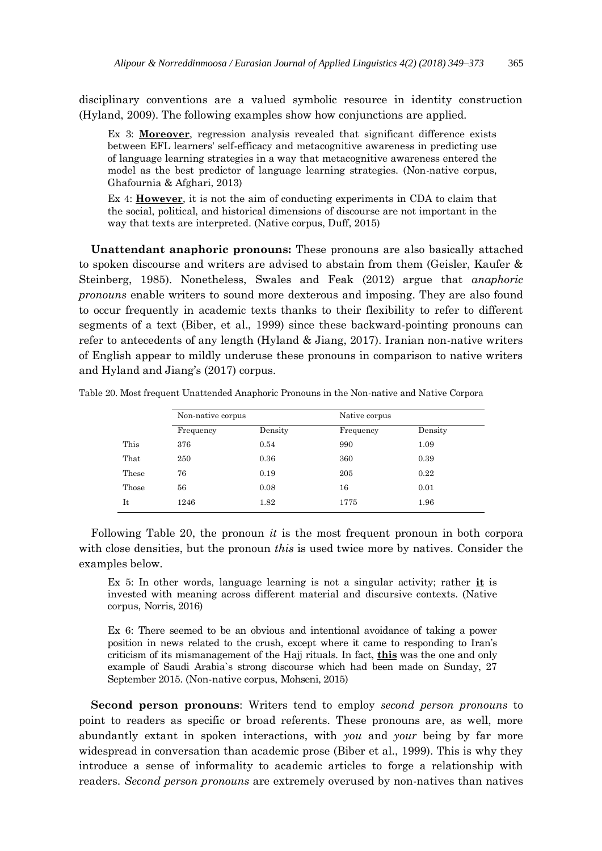disciplinary conventions are a valued symbolic resource in identity construction (Hyland, 2009). The following examples show how conjunctions are applied.

Ex 3: **Moreover**, regression analysis revealed that significant difference exists between EFL learners' self-efficacy and metacognitive awareness in predicting use of language learning strategies in a way that metacognitive awareness entered the model as the best predictor of language learning strategies. (Non-native corpus, Ghafournia & Afghari, 2013)

Ex 4: **However**, it is not the aim of conducting experiments in CDA to claim that the social, political, and historical dimensions of discourse are not important in the way that texts are interpreted. (Native corpus, Duff, 2015)

**Unattendant anaphoric pronouns:** These pronouns are also basically attached to spoken discourse and writers are advised to abstain from them (Geisler, Kaufer & Steinberg, 1985). Nonetheless, Swales and Feak (2012) argue that *anaphoric pronouns* enable writers to sound more dexterous and imposing. They are also found to occur frequently in academic texts thanks to their flexibility to refer to different segments of a text (Biber, et al., 1999) since these backward-pointing pronouns can refer to antecedents of any length (Hyland & Jiang, 2017). Iranian non-native writers of English appear to mildly underuse these pronouns in comparison to native writers and Hyland and Jiang's (2017) corpus.

|       | Non-native corpus |         | Native corpus |         |
|-------|-------------------|---------|---------------|---------|
|       | Frequency         | Density | Frequency     | Density |
| This  | 376               | 0.54    | 990           | 1.09    |
| That  | 250               | 0.36    | 360           | 0.39    |
| These | 76                | 0.19    | 205           | 0.22    |
| Those | 56                | 0.08    | 16            | 0.01    |
| It    | 1246              | 1.82    | 1775          | 1.96    |

Table 20. Most frequent Unattended Anaphoric Pronouns in the Non-native and Native Corpora

Following Table 20, the pronoun *it* is the most frequent pronoun in both corpora with close densities, but the pronoun *this* is used twice more by natives. Consider the examples below.

Ex 5: In other words, language learning is not a singular activity; rather **it** is invested with meaning across different material and discursive contexts. (Native corpus, Norris, 2016)

Ex 6: There seemed to be an obvious and intentional avoidance of taking a power position in news related to the crush, except where it came to responding to Iran's criticism of its mismanagement of the Hajj rituals. In fact, **this** was the one and only example of Saudi Arabia`s strong discourse which had been made on Sunday, 27 September 2015. (Non-native corpus, Mohseni, 2015)

**Second person pronouns**: Writers tend to employ *second person pronouns* to point to readers as specific or broad referents. These pronouns are, as well, more abundantly extant in spoken interactions, with *you* and *your* being by far more widespread in conversation than academic prose (Biber et al., 1999). This is why they introduce a sense of informality to academic articles to forge a relationship with readers. *Second person pronouns* are extremely overused by non-natives than natives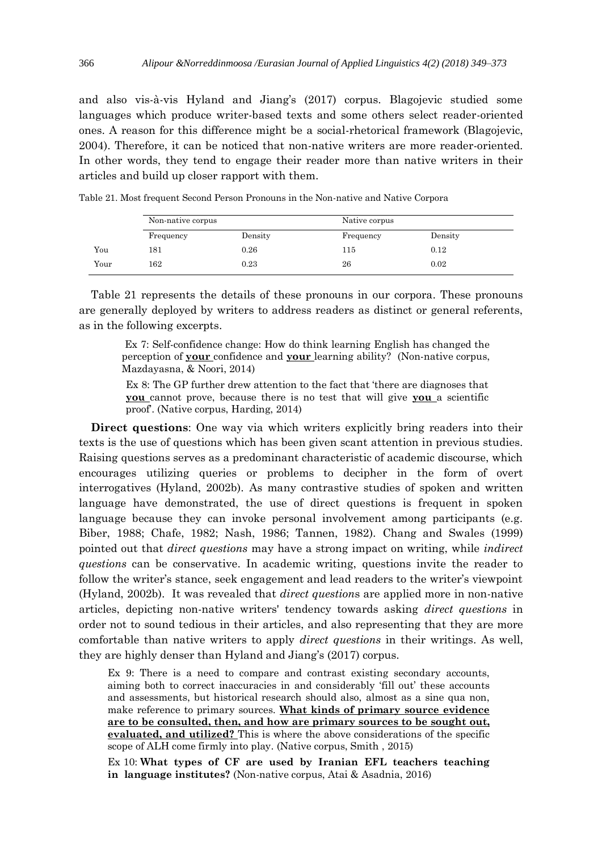and also vis-à-vis Hyland and Jiang's (2017) corpus. Blagojevic studied some languages which produce writer-based texts and some others select reader-oriented ones. A reason for this difference might be a social-rhetorical framework (Blagojevic, 2004). Therefore, it can be noticed that non-native writers are more reader-oriented. In other words, they tend to engage their reader more than native writers in their articles and build up closer rapport with them.

|      |           | Non-native corpus |           |         |
|------|-----------|-------------------|-----------|---------|
|      | Frequency | Density           | Frequency | Density |
| You  | 181       | 0.26              | 115       | 0.12    |
| Your | 162       | 0.23              | 26        | 0.02    |

Table 21. Most frequent Second Person Pronouns in the Non-native and Native Corpora

Table 21 represents the details of these pronouns in our corpora. These pronouns are generally deployed by writers to address readers as distinct or general referents, as in the following excerpts.

Ex 7: Self-confidence change: How do think learning English has changed the perception of **your** confidence and **your** learning ability? (Non-native corpus, Mazdayasna, & Noori, 2014)

Ex 8: The GP further drew attention to the fact that 'there are diagnoses that **you** cannot prove, because there is no test that will give **you** a scientific proof'. (Native corpus, Harding, 2014)

**Direct questions**: One way via which writers explicitly bring readers into their texts is the use of questions which has been given scant attention in previous studies. Raising questions serves as a predominant characteristic of academic discourse, which encourages utilizing queries or problems to decipher in the form of overt interrogatives (Hyland, 2002b). As many contrastive studies of spoken and written language have demonstrated, the use of direct questions is frequent in spoken language because they can invoke personal involvement among participants (e.g. Biber, 1988; Chafe, 1982; Nash, 1986; Tannen, 1982). Chang and Swales (1999) pointed out that *direct questions* may have a strong impact on writing, while *indirect questions* can be conservative. In academic writing, questions invite the reader to follow the writer's stance, seek engagement and lead readers to the writer's viewpoint (Hyland, 2002b). It was revealed that *direct question*s are applied more in non-native articles, depicting non-native writers' tendency towards asking *direct questions* in order not to sound tedious in their articles, and also representing that they are more comfortable than native writers to apply *direct questions* in their writings. As well, they are highly denser than Hyland and Jiang's (2017) corpus.

Ex 9: There is a need to compare and contrast existing secondary accounts, aiming both to correct inaccuracies in and considerably 'fill out' these accounts and assessments, but historical research should also, almost as a sine qua non, make reference to primary sources. **What kinds of primary source evidence are to be consulted, then, and how are primary sources to be sought out, evaluated, and utilized?** This is where the above considerations of the specific scope of ALH come firmly into play. (Native corpus, Smith , 2015)

Ex 10: **What types of CF are used by Iranian EFL teachers teaching in language institutes?** (Non-native corpus, Atai & Asadnia, 2016)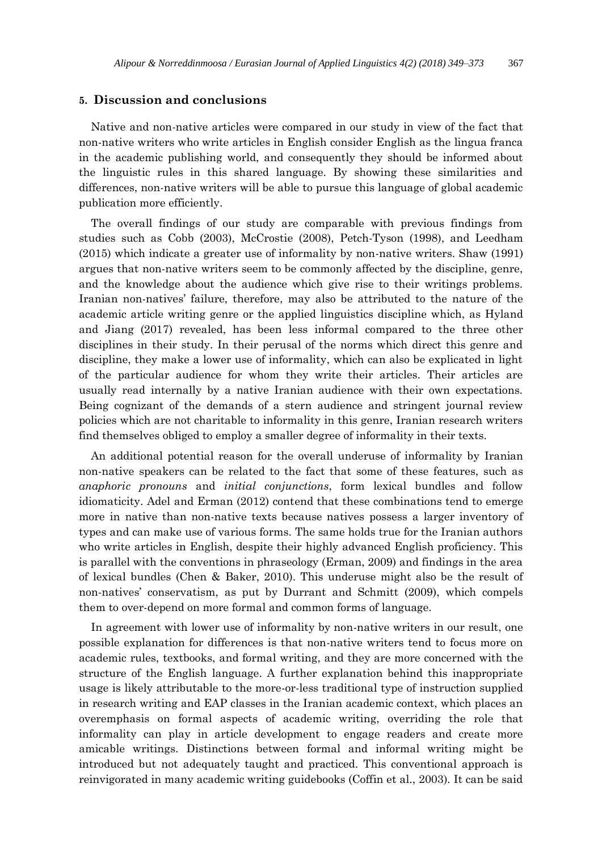# **5. Discussion and conclusions**

Native and non-native articles were compared in our study in view of the fact that non-native writers who write articles in English consider English as the lingua franca in the academic publishing world, and consequently they should be informed about the linguistic rules in this shared language. By showing these similarities and differences, non-native writers will be able to pursue this language of global academic publication more efficiently.

The overall findings of our study are comparable with previous findings from studies such as Cobb (2003), McCrostie (2008), Petch-Tyson (1998), and Leedham (2015) which indicate a greater use of informality by non-native writers. Shaw (1991) argues that non-native writers seem to be commonly affected by the discipline, genre, and the knowledge about the audience which give rise to their writings problems. Iranian non-natives' failure, therefore, may also be attributed to the nature of the academic article writing genre or the applied linguistics discipline which, as Hyland and Jiang (2017) revealed, has been less informal compared to the three other disciplines in their study. In their perusal of the norms which direct this genre and discipline, they make a lower use of informality, which can also be explicated in light of the particular audience for whom they write their articles. Their articles are usually read internally by a native Iranian audience with their own expectations. Being cognizant of the demands of a stern audience and stringent journal review policies which are not charitable to informality in this genre, Iranian research writers find themselves obliged to employ a smaller degree of informality in their texts.

An additional potential reason for the overall underuse of informality by Iranian non-native speakers can be related to the fact that some of these features, such as *anaphoric pronouns* and *initial conjunctions*, form lexical bundles and follow idiomaticity. Adel and Erman (2012) contend that these combinations tend to emerge more in native than non-native texts because natives possess a larger inventory of types and can make use of various forms. The same holds true for the Iranian authors who write articles in English, despite their highly advanced English proficiency. This is parallel with the conventions in phraseology (Erman, 2009) and findings in the area of lexical bundles (Chen & Baker, 2010). This underuse might also be the result of non-natives' conservatism, as put by Durrant and Schmitt (2009), which compels them to over-depend on more formal and common forms of language.

In agreement with lower use of informality by non-native writers in our result, one possible explanation for differences is that non-native writers tend to focus more on academic rules, textbooks, and formal writing, and they are more concerned with the structure of the English language. A further explanation behind this inappropriate usage is likely attributable to the more-or-less traditional type of instruction supplied in research writing and EAP classes in the Iranian academic context, which places an overemphasis on formal aspects of academic writing, overriding the role that informality can play in article development to engage readers and create more amicable writings. Distinctions between formal and informal writing might be introduced but not adequately taught and practiced. This conventional approach is reinvigorated in many academic writing guidebooks (Coffin et al., 2003). It can be said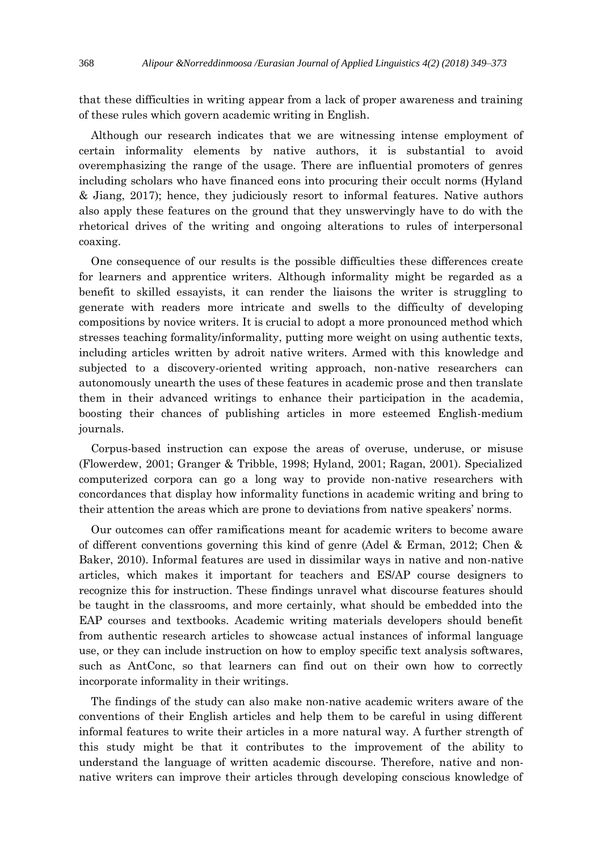that these difficulties in writing appear from a lack of proper awareness and training of these rules which govern academic writing in English.

Although our research indicates that we are witnessing intense employment of certain informality elements by native authors, it is substantial to avoid overemphasizing the range of the usage. There are influential promoters of genres including scholars who have financed eons into procuring their occult norms (Hyland & Jiang, 2017); hence, they judiciously resort to informal features. Native authors also apply these features on the ground that they unswervingly have to do with the rhetorical drives of the writing and ongoing alterations to rules of interpersonal coaxing.

One consequence of our results is the possible difficulties these differences create for learners and apprentice writers. Although informality might be regarded as a benefit to skilled essayists, it can render the liaisons the writer is struggling to generate with readers more intricate and swells to the difficulty of developing compositions by novice writers. It is crucial to adopt a more pronounced method which stresses teaching formality/informality, putting more weight on using authentic texts, including articles written by adroit native writers. Armed with this knowledge and subjected to a discovery-oriented writing approach, non-native researchers can autonomously unearth the uses of these features in academic prose and then translate them in their advanced writings to enhance their participation in the academia, boosting their chances of publishing articles in more esteemed English-medium journals.

Corpus-based instruction can expose the areas of overuse, underuse, or misuse (Flowerdew, 2001; Granger & Tribble, 1998; Hyland, 2001; Ragan, 2001). Specialized computerized corpora can go a long way to provide non-native researchers with concordances that display how informality functions in academic writing and bring to their attention the areas which are prone to deviations from native speakers' norms.

Our outcomes can offer ramifications meant for academic writers to become aware of different conventions governing this kind of genre (Adel & Erman, 2012; Chen & Baker, 2010). Informal features are used in dissimilar ways in native and non-native articles, which makes it important for teachers and ES/AP course designers to recognize this for instruction. These findings unravel what discourse features should be taught in the classrooms, and more certainly, what should be embedded into the EAP courses and textbooks. Academic writing materials developers should benefit from authentic research articles to showcase actual instances of informal language use, or they can include instruction on how to employ specific text analysis softwares, such as AntConc, so that learners can find out on their own how to correctly incorporate informality in their writings.

The findings of the study can also make non-native academic writers aware of the conventions of their English articles and help them to be careful in using different informal features to write their articles in a more natural way. A further strength of this study might be that it contributes to the improvement of the ability to understand the language of written academic discourse. Therefore, native and nonnative writers can improve their articles through developing conscious knowledge of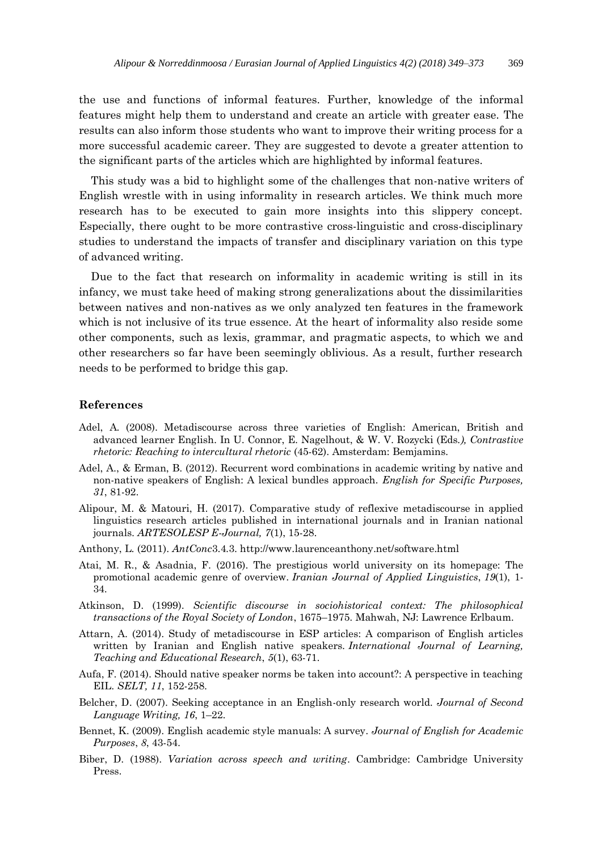the use and functions of informal features. Further, knowledge of the informal features might help them to understand and create an article with greater ease. The results can also inform those students who want to improve their writing process for a more successful academic career. They are suggested to devote a greater attention to the significant parts of the articles which are highlighted by informal features.

This study was a bid to highlight some of the challenges that non-native writers of English wrestle with in using informality in research articles. We think much more research has to be executed to gain more insights into this slippery concept. Especially, there ought to be more contrastive cross-linguistic and cross-disciplinary studies to understand the impacts of transfer and disciplinary variation on this type of advanced writing.

Due to the fact that research on informality in academic writing is still in its infancy, we must take heed of making strong generalizations about the dissimilarities between natives and non-natives as we only analyzed ten features in the framework which is not inclusive of its true essence. At the heart of informality also reside some other components, such as lexis, grammar, and pragmatic aspects, to which we and other researchers so far have been seemingly oblivious. As a result, further research needs to be performed to bridge this gap.

#### **References**

- Adel, A. (2008). Metadiscourse across three varieties of English: American, British and advanced learner English. In U. Connor, E. Nagelhout, & W. V. Rozycki (Eds*.), Contrastive rhetoric: Reaching to intercultural rhetoric* (45-62). Amsterdam: Bemjamins.
- Adel, A., & Erman, B. (2012). Recurrent word combinations in academic writing by native and non-native speakers of English: A lexical bundles approach. *English for Specific Purposes, 31*, 81-92.
- Alipour, M. & Matouri, H. (2017). Comparative study of reflexive metadiscourse in applied linguistics research articles published in international journals and in Iranian national journals. *ARTESOLESP E-Journal, 7*(1), 15-28.
- Anthony, L. (2011). *AntConc*3.4.3. http://www.laurenceanthony.net/software.html
- Atai, M. R., & Asadnia, F. (2016). The prestigious world university on its homepage: The promotional academic genre of overview. *Iranian Journal of Applied Linguistics*, *19*(1), 1- 34.
- Atkinson, D. (1999). *Scientific discourse in sociohistorical context: The philosophical transactions of the Royal Society of London*, 1675–1975. Mahwah, NJ: Lawrence Erlbaum.
- Attarn, A. (2014). Study of metadiscourse in ESP articles: A comparison of English articles written by Iranian and English native speakers. *International Journal of Learning, Teaching and Educational Research*, *5*(1), 63-71.
- Aufa, F. (2014). Should native speaker norms be taken into account?: A perspective in teaching EIL. *SELT, 11*, 152-258.
- Belcher, D. (2007). Seeking acceptance in an English-only research world. *Journal of Second Language Writing, 16*, 1–22.
- Bennet, K. (2009). English academic style manuals: A survey. *Journal of English for Academic Purposes*, *8*, 43-54.
- Biber, D. (1988). *Variation across speech and writing*. Cambridge: Cambridge University Press.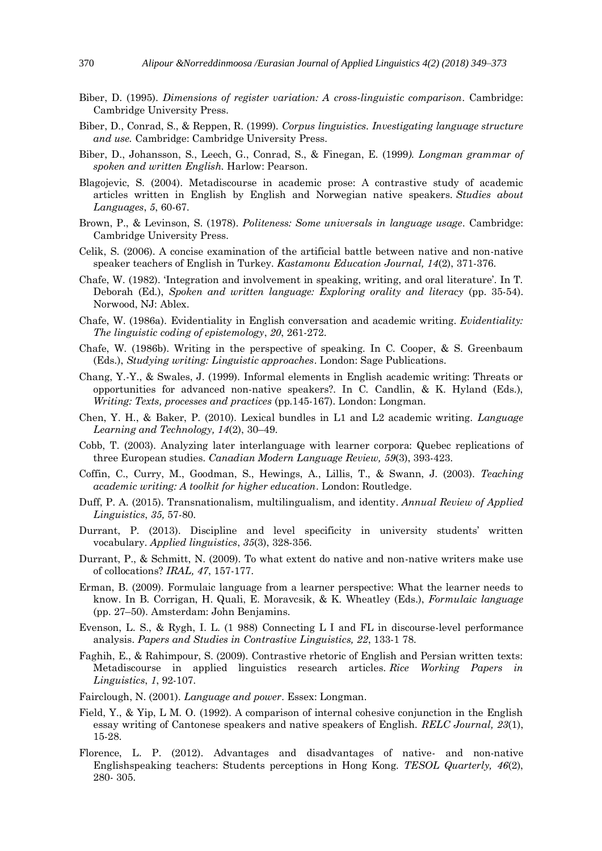- Biber, D. (1995). *Dimensions of register variation: A cross-linguistic comparison*. Cambridge: Cambridge University Press.
- Biber, D., Conrad, S., & Reppen, R. (1999). *Corpus linguistics. Investigating language structure and use.* Cambridge: Cambridge University Press.
- Biber, D., Johansson, S., Leech, G., Conrad, S., & Finegan, E. (1999*). Longman grammar of spoken and written English.* Harlow: Pearson.
- Blagojevic, S. (2004). Metadiscourse in academic prose: A contrastive study of academic articles written in English by English and Norwegian native speakers*. Studies about Languages*, *5*, 60-67.
- Brown, P., & Levinson, S. (1978). *Politeness: Some universals in language usage*. Cambridge: Cambridge University Press.
- Celik, S. (2006). A concise examination of the artificial battle between native and non-native speaker teachers of English in Turkey. *Kastamonu Education Journal, 14*(2), 371-376.
- Chafe, W. (1982). 'Integration and involvement in speaking, writing, and oral literature'. In T. Deborah (Ed.), *Spoken and written language: Exploring orality and literacy* (pp. 35-54). Norwood, NJ: Ablex.
- Chafe, W. (1986a). Evidentiality in English conversation and academic writing. *Evidentiality: The linguistic coding of epistemology*, *20*, 261-272.
- Chafe, W. (1986b). Writing in the perspective of speaking. In C. Cooper, & S. Greenbaum (Eds.), *Studying writing: Linguistic approaches*. London: Sage Publications.
- Chang, Y.-Y., & Swales, J. (1999). Informal elements in English academic writing: Threats or opportunities for advanced non-native speakers?. In C. Candlin, & K. Hyland (Eds.), *Writing: Texts, processes and practices* (pp.145-167). London: Longman.
- Chen, Y. H., & Baker, P. (2010). Lexical bundles in L1 and L2 academic writing. *Language Learning and Technology, 14*(2), 30–49.
- Cobb, T. (2003). Analyzing later interlanguage with learner corpora: Quebec replications of three European studies. *Canadian Modern Language Review, 59*(3), 393-423.
- Coffin, C., Curry, M., Goodman, S., Hewings, A., Lillis, T., & Swann, J. (2003). *Teaching academic writing: A toolkit for higher education*. London: Routledge.
- Duff, P. A. (2015). Transnationalism, multilingualism, and identity. *Annual Review of Applied Linguistics*, *35,* 57-80.
- Durrant, P. (2013). Discipline and level specificity in university students' written vocabulary. *Applied linguistics*, *35*(3), 328-356.
- Durrant, P., & Schmitt, N. (2009). To what extent do native and non-native writers make use of collocations? *IRAL, 47*, 157-177.
- Erman, B. (2009). Formulaic language from a learner perspective: What the learner needs to know. In B. Corrigan, H. Quali, E. Moravcsik, & K. Wheatley (Eds.), *Formulaic language* (pp. 27–50). Amsterdam: John Benjamins.
- Evenson, L. S., & Rygh, I. L. (1 988) Connecting L I and FL in discourse-level performance analysis. *Papers and Studies in Contrastive Linguistics, 22*, 133-1 78.
- Faghih, E., & Rahimpour, S. (2009). Contrastive rhetoric of English and Persian written texts: Metadiscourse in applied linguistics research articles. *Rice Working Papers in Linguistics*, *1*, 92-107.
- Fairclough, N. (2001). *Language and power*. Essex: Longman.
- Field, Y., & Yip, L M. O. (1992). A comparison of internal cohesive conjunction in the English essay writing of Cantonese speakers and native speakers of English. *RELC Journal, 23*(1), 15-28.
- Florence, L. P. (2012). Advantages and disadvantages of native- and non-native Englishspeaking teachers: Students perceptions in Hong Kong. *TESOL Quarterly, 46*(2), 280- 305.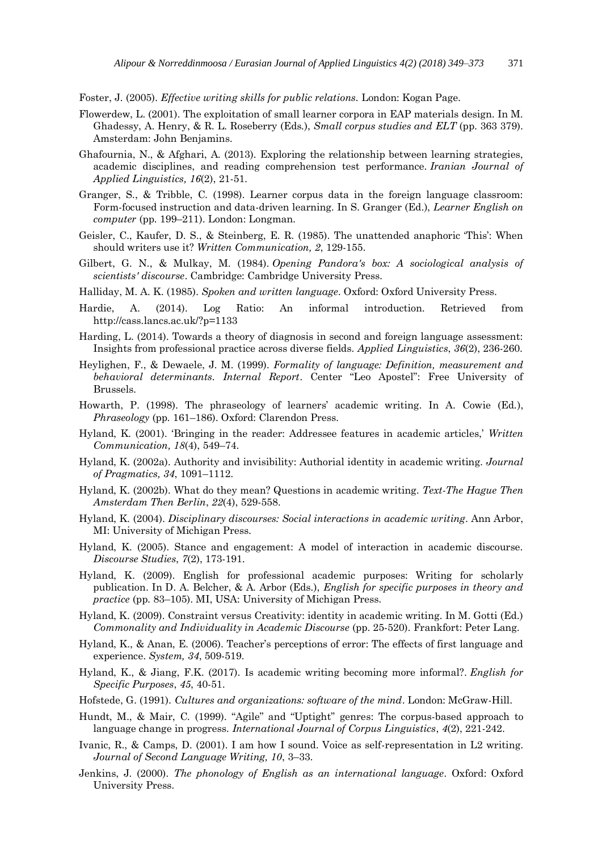Foster, J. (2005). *Effective writing skills for public relations.* London: Kogan Page.

- Flowerdew, L. (2001). The exploitation of small learner corpora in EAP materials design. In M. Ghadessy, A. Henry, & R. L. Roseberry (Eds.), *Small corpus studies and ELT* (pp. 363 379). Amsterdam: John Benjamins.
- Ghafournia, N., & Afghari, A. (2013). Exploring the relationship between learning strategies, academic disciplines, and reading comprehension test performance. *Iranian Journal of Applied Linguistics, 16*(2), 21-51.
- Granger, S., & Tribble, C. (1998). Learner corpus data in the foreign language classroom: Form-focused instruction and data-driven learning. In S. Granger (Ed.), *Learner English on computer* (pp. 199–211). London: Longman.
- Geisler, C., Kaufer, D. S., & Steinberg, E. R. (1985). The unattended anaphoric 'This': When should writers use it? *Written Communication, 2*, 129-155.
- Gilbert, G. N., & Mulkay, M. (1984). *Opening Pandora's box: A sociological analysis of scientists' discourse*. Cambridge: Cambridge University Press.
- Halliday, M. A. K. (1985). *Spoken and written language*. Oxford: Oxford University Press.
- Hardie, A. (2014). Log Ratio: An informal introduction. Retrieved from http://cass.lancs.ac.uk/?p=1133
- Harding, L. (2014). Towards a theory of diagnosis in second and foreign language assessment: Insights from professional practice across diverse fields. *Applied Linguistics*, *36*(2), 236-260.
- Heylighen, F., & Dewaele, J. M. (1999). *Formality of language: Definition, measurement and behavioral determinants. Internal Report*. Center "Leo Apostel": Free University of Brussels.
- Howarth, P. (1998). The phraseology of learners' academic writing. In A. Cowie (Ed.), *Phraseology* (pp. 161–186). Oxford: Clarendon Press.
- Hyland, K. (2001). 'Bringing in the reader: Addressee features in academic articles,' *Written Communication, 18*(4), 549–74.
- Hyland, K. (2002a). Authority and invisibility: Authorial identity in academic writing. *Journal of Pragmatics, 34*, 1091–1112.
- Hyland, K. (2002b). What do they mean? Questions in academic writing. *Text-The Hague Then Amsterdam Then Berlin*, *22*(4), 529-558.
- Hyland, K. (2004). *Disciplinary discourses: Social interactions in academic writing*. Ann Arbor, MI: University of Michigan Press.
- Hyland, K. (2005). Stance and engagement: A model of interaction in academic discourse. *Discourse Studies*, *7*(2), 173-191.
- Hyland, K. (2009). English for professional academic purposes: Writing for scholarly publication. In D. A. Belcher, & A. Arbor (Eds.), *English for specific purposes in theory and practice* (pp. 83–105). MI, USA: University of Michigan Press.
- Hyland, K. (2009). Constraint versus Creativity: identity in academic writing. In M. Gotti (Ed.) *Commonality and Individuality in Academic Discourse* (pp. 25-520). Frankfort: Peter Lang.
- Hyland, K., & Anan, E. (2006). Teacher's perceptions of error: The effects of first language and experience. *System, 34*, 509-519.
- Hyland, K., & Jiang, F.K. (2017). Is academic writing becoming more informal?. *English for Specific Purposes*, *45*, 40-51.
- Hofstede, G. (1991). *Cultures and organizations: software of the mind*. London: McGraw-Hill.
- Hundt, M., & Mair, C. (1999). "Agile" and "Uptight" genres: The corpus-based approach to language change in progress. *International Journal of Corpus Linguistics*, *4*(2), 221-242.
- Ivanic, R., & Camps, D. (2001). I am how I sound. Voice as self-representation in L2 writing. *Journal of Second Language Writing, 10*, 3–33.
- Jenkins, J. (2000). *The phonology of English as an international language*. Oxford: Oxford University Press.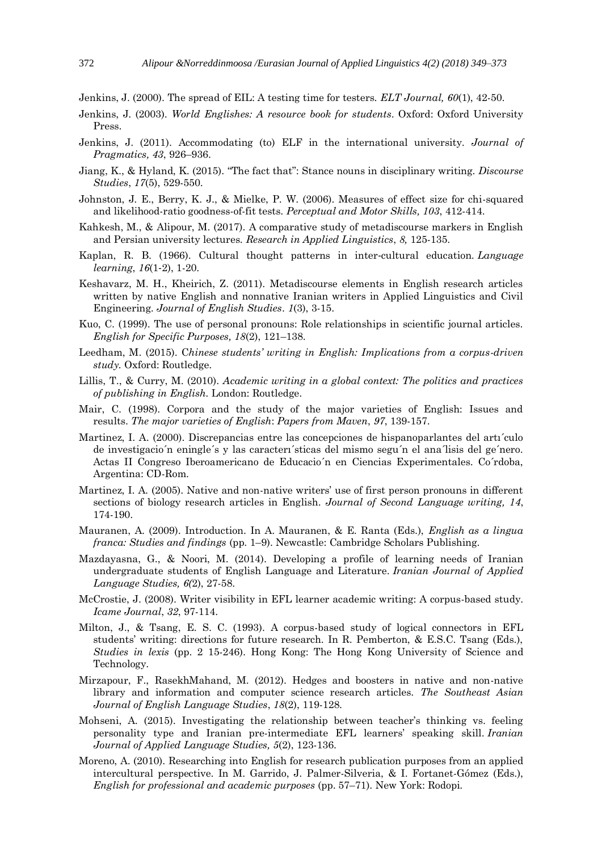Jenkins, J. (2000). The spread of EIL: A testing time for testers. *ELT Journal, 60*(1), 42-50.

- Jenkins, J. (2003). *World Englishes: A resource book for students*. Oxford: Oxford University Press.
- Jenkins, J. (2011). Accommodating (to) ELF in the international university. *Journal of Pragmatics, 43*, 926–936.
- Jiang, K., & Hyland, K. (2015). "The fact that": Stance nouns in disciplinary writing. *Discourse Studies*, *17*(5), 529-550.
- Johnston, J. E., Berry, K. J., & Mielke, P. W. (2006). Measures of effect size for chi-squared and likelihood-ratio goodness-of-fit tests. *Perceptual and Motor Skills, 103*, 412-414.
- Kahkesh, M., & Alipour, M. (2017). A comparative study of metadiscourse markers in English and Persian university lectures. *Research in Applied Linguistics*, *8,* 125-135.
- Kaplan, R. B. (1966). Cultural thought patterns in inter‐cultural education. *Language learning*, *16*(1‐2), 1-20.
- Keshavarz, M. H., Kheirich, Z. (2011). Metadiscourse elements in English research articles written by native English and nonnative Iranian writers in Applied Linguistics and Civil Engineering. *Journal of English Studies*. *1*(3), 3-15.
- Kuo, C. (1999). The use of personal pronouns: Role relationships in scientific journal articles. *English for Specific Purposes, 18*(2), 121–138.
- Leedham, M. (2015). C*hinese students' writing in English: Implications from a corpus-driven study.* Oxford: Routledge.
- Lillis, T., & Curry, M. (2010). *Academic writing in a global context: The politics and practices of publishing in English.* London: Routledge.
- Mair, C. (1998). Corpora and the study of the major varieties of English: Issues and results. *The major varieties of English*: *Papers from Maven*, *97*, 139-157.
- Martinez, I. A. (2000). Discrepancias entre las concepciones de hispanoparlantes del artı´culo de investigacio´n eningle´s y las caracterı´sticas del mismo segu´n el ana´lisis del ge´nero. Actas II Congreso Iberoamericano de Educacio´n en Ciencias Experimentales. Co´rdoba, Argentina: CD-Rom.
- Martinez, I. A. (2005). Native and non-native writers' use of first person pronouns in different sections of biology research articles in English. *Journal of Second Language writing, 14*, 174-190.
- Mauranen, A. (2009). Introduction. In A. Mauranen, & E. Ranta (Eds.), *English as a lingua franca: Studies and findings* (pp. 1–9). Newcastle: Cambridge Scholars Publishing.
- Mazdayasna, G., & Noori, M. (2014). Developing a profile of learning needs of Iranian undergraduate students of English Language and Literature. *Iranian Journal of Applied Language Studies, 6(*2), 27-58.
- McCrostie, J. (2008). Writer visibility in EFL learner academic writing: A corpus-based study. *Icame Journal*, *32*, 97-114.
- Milton, J., & Tsang, E. S. C. (1993). A corpus-based study of logical connectors in EFL students' writing: directions for future research. In R. Pemberton, & E.S.C. Tsang (Eds.), *Studies in lexis* (pp. 2 15-246). Hong Kong: The Hong Kong University of Science and Technology.
- Mirzapour, F., RasekhMahand, M. (2012). Hedges and boosters in native and non-native library and information and computer science research articles. *The Southeast Asian Journal of English Language Studies*, *18*(2), 119-128.
- Mohseni, A. (2015). Investigating the relationship between teacher's thinking vs. feeling personality type and Iranian pre-intermediate EFL learners' speaking skill. *Iranian Journal of Applied Language Studies, 5*(2), 123-136.
- Moreno, A. (2010). Researching into English for research publication purposes from an applied intercultural perspective. In M. Garrido, J. Palmer-Silveria, & I. Fortanet-Gómez (Eds.), *English for professional and academic purposes* (pp. 57–71). New York: Rodopi.